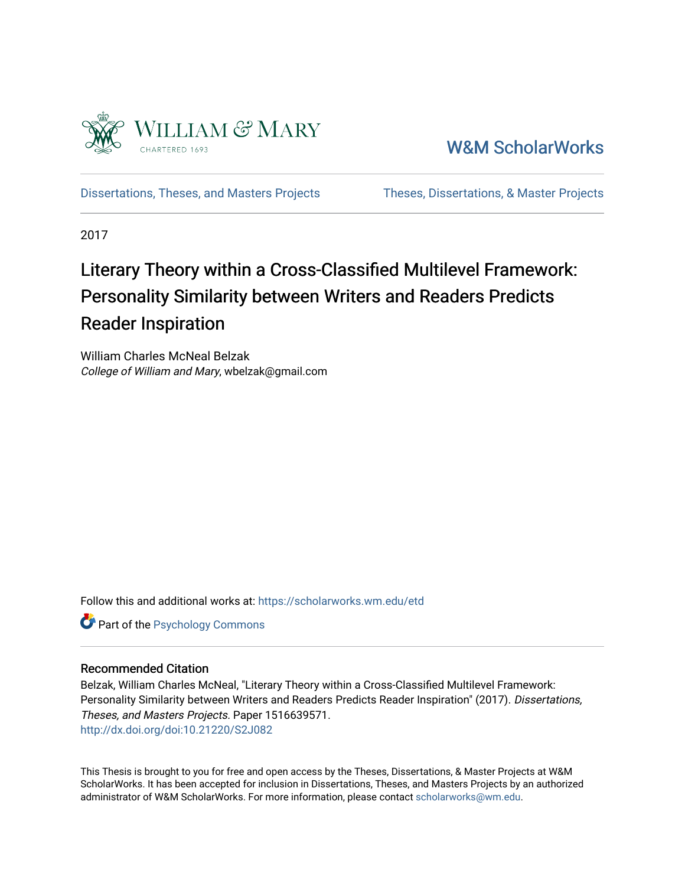

[W&M ScholarWorks](https://scholarworks.wm.edu/) 

[Dissertations, Theses, and Masters Projects](https://scholarworks.wm.edu/etd) Theses, Dissertations, & Master Projects

2017

# Literary Theory within a Cross-Classified Multilevel Framework: Personality Similarity between Writers and Readers Predicts Reader Inspiration

William Charles McNeal Belzak College of William and Mary, wbelzak@gmail.com

Follow this and additional works at: [https://scholarworks.wm.edu/etd](https://scholarworks.wm.edu/etd?utm_source=scholarworks.wm.edu%2Fetd%2F1516639571&utm_medium=PDF&utm_campaign=PDFCoverPages)

**Part of the Psychology Commons** 

#### Recommended Citation

Belzak, William Charles McNeal, "Literary Theory within a Cross-Classified Multilevel Framework: Personality Similarity between Writers and Readers Predicts Reader Inspiration" (2017). Dissertations, Theses, and Masters Projects. Paper 1516639571. <http://dx.doi.org/doi:10.21220/S2J082>

This Thesis is brought to you for free and open access by the Theses, Dissertations, & Master Projects at W&M ScholarWorks. It has been accepted for inclusion in Dissertations, Theses, and Masters Projects by an authorized administrator of W&M ScholarWorks. For more information, please contact [scholarworks@wm.edu.](mailto:scholarworks@wm.edu)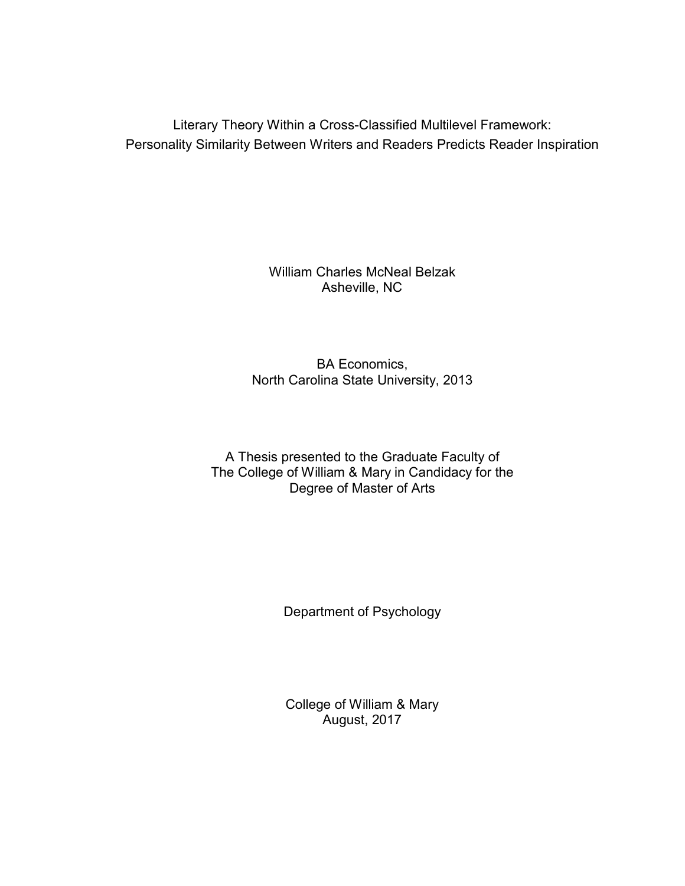Literary Theory Within a Cross-Classified Multilevel Framework: Personality Similarity Between Writers and Readers Predicts Reader Inspiration

> William Charles McNeal Belzak Asheville, NC

BA Economics, North Carolina State University, 2013

A Thesis presented to the Graduate Faculty of The College of William & Mary in Candidacy for the Degree of Master of Arts

Department of Psychology

College of William & Mary August, 2017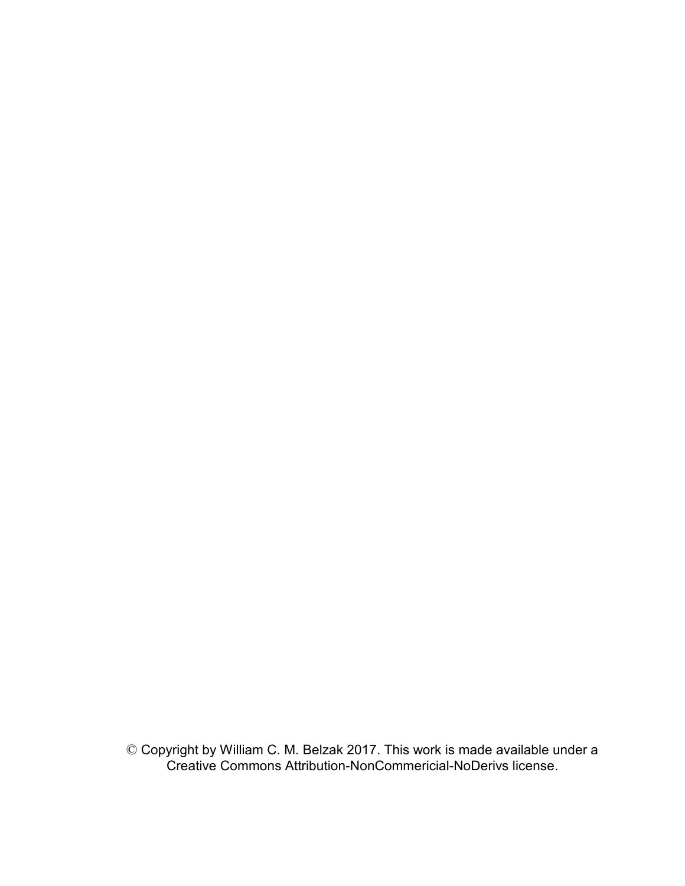© Copyright by William C. M. Belzak 2017. This work is made available under a Creative Commons Attribution-NonCommericial-NoDerivs license.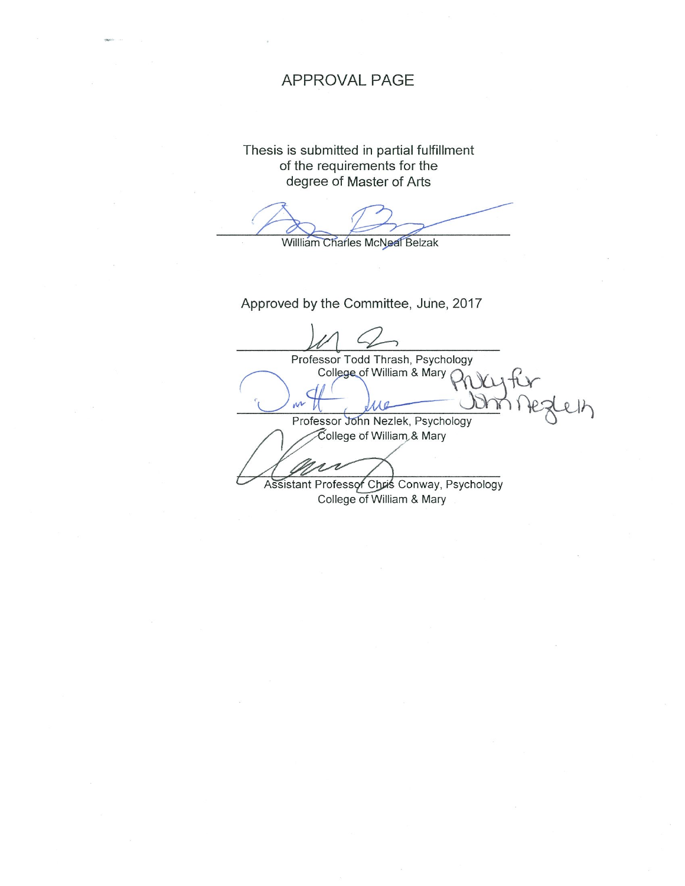### **APPROVAL PAGE**

Thesis is submitted in partial fulfillment of the requirements for the degree of Master of Arts

Willliam Charles McNeal Belzak

Approved by the Committee, June, 2017

Professor Todd Thrash, Psychology College of William & Mary C m Professor John Nezlek, Psychology College of William & Mary Assistant Professor Chris Conway, Psychology College of William & Mary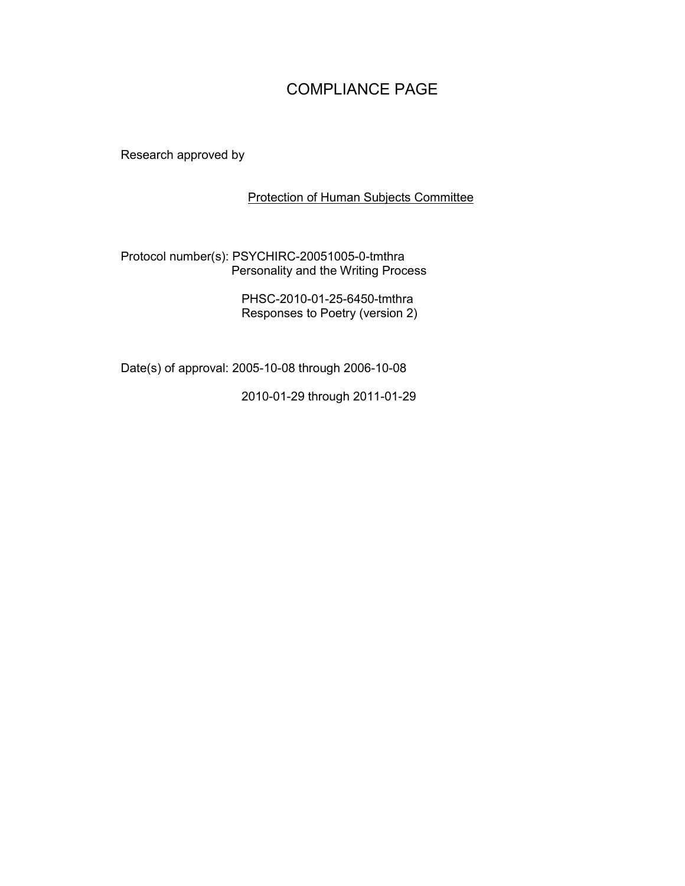## COMPLIANCE PAGE

Research approved by

#### Protection of Human Subjects Committee

#### Protocol number(s): PSYCHIRC-20051005-0-tmthra Personality and the Writing Process

PHSC-2010-01-25-6450-tmthra Responses to Poetry (version 2)

Date(s) of approval: 2005-10-08 through 2006-10-08

2010-01-29 through 2011-01-29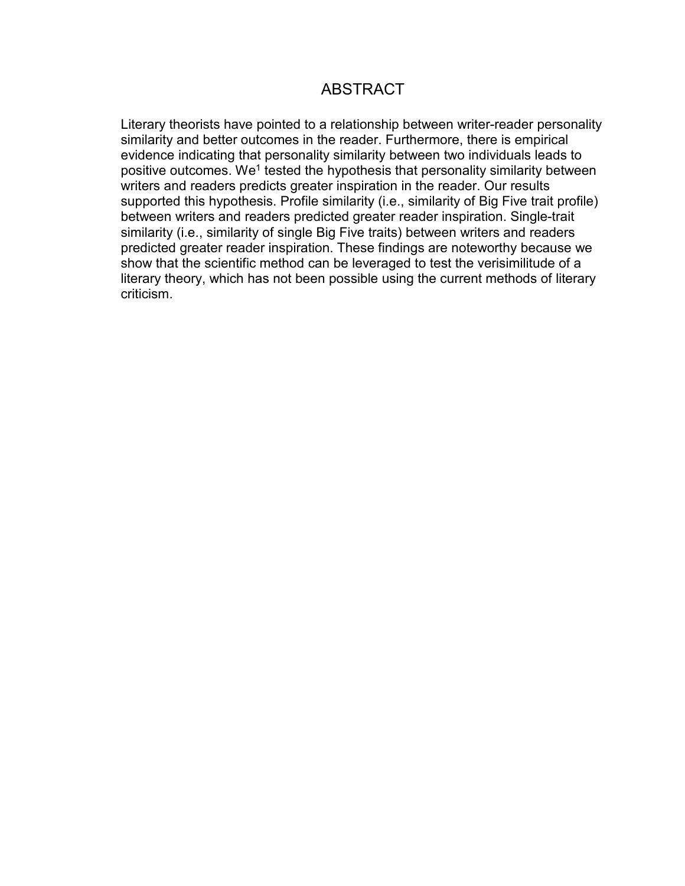### **ABSTRACT**

Literary theorists have pointed to a relationship between writer-reader personality similarity and better outcomes in the reader. Furthermore, there is empirical evidence indicating that personality similarity between two individuals leads to positive outcomes. We<sup>1</sup> tested the hypothesis that personality similarity between writers and readers predicts greater inspiration in the reader. Our results supported this hypothesis. Profile similarity (i.e., similarity of Big Five trait profile) between writers and readers predicted greater reader inspiration. Single-trait similarity (i.e., similarity of single Big Five traits) between writers and readers predicted greater reader inspiration. These findings are noteworthy because we show that the scientific method can be leveraged to test the verisimilitude of a literary theory, which has not been possible using the current methods of literary criticism.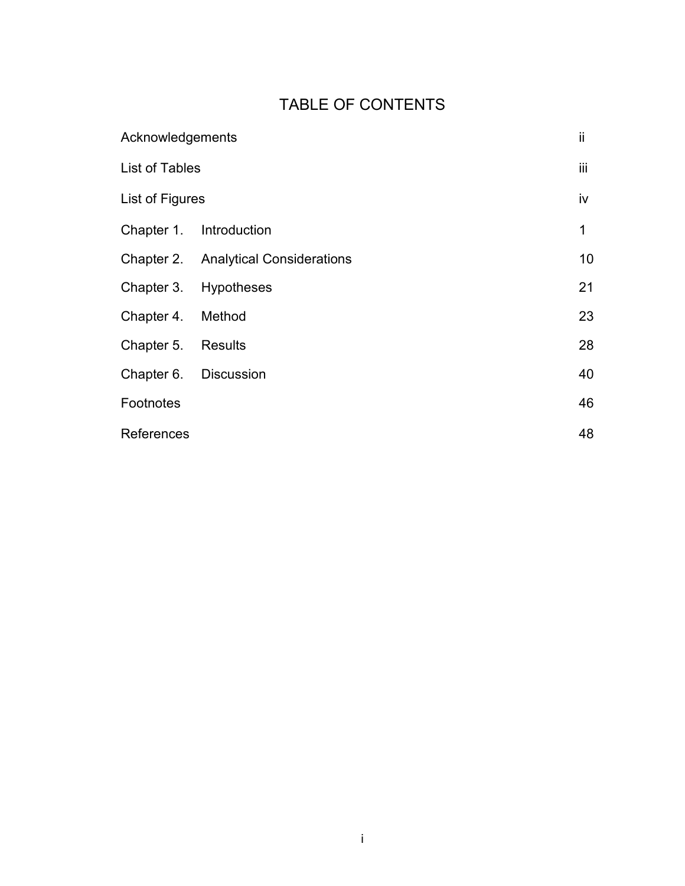## TABLE OF CONTENTS

|                       | Acknowledgements                            |                 |  |
|-----------------------|---------------------------------------------|-----------------|--|
| List of Tables        |                                             |                 |  |
| List of Figures       |                                             |                 |  |
|                       | Chapter 1. Introduction                     | 1               |  |
|                       | <b>Chapter 2.</b> Analytical Considerations | 10 <sup>1</sup> |  |
|                       | Chapter 3. Hypotheses                       | 21              |  |
| Chapter 4. Method     |                                             | 23              |  |
| Chapter 5. Results    |                                             | 28              |  |
| Chapter 6. Discussion |                                             | 40              |  |
| Footnotes             |                                             | 46              |  |
| <b>References</b>     |                                             | 48              |  |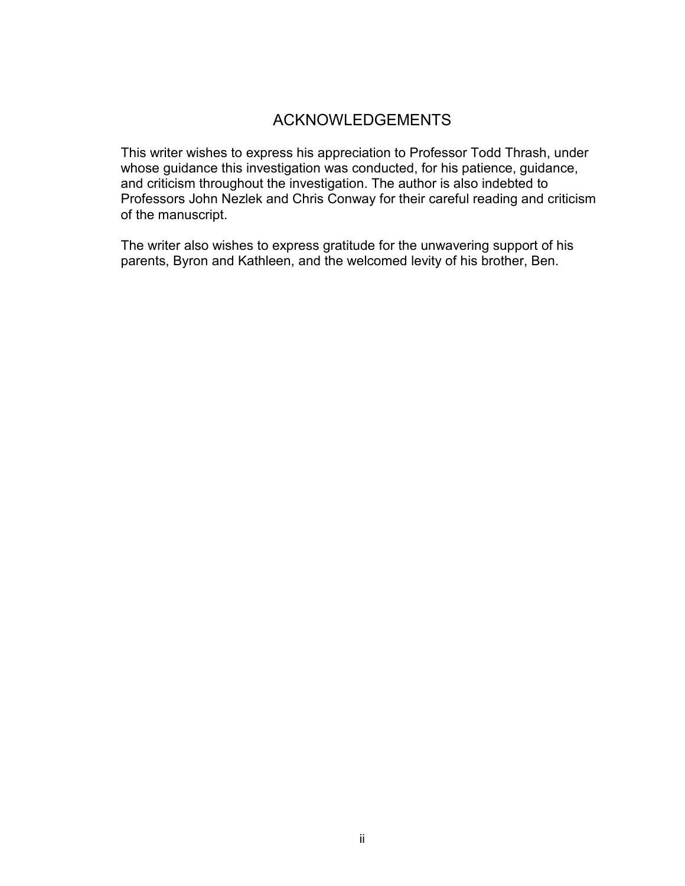### ACKNOWLEDGEMENTS

This writer wishes to express his appreciation to Professor Todd Thrash, under whose guidance this investigation was conducted, for his patience, guidance, and criticism throughout the investigation. The author is also indebted to Professors John Nezlek and Chris Conway for their careful reading and criticism of the manuscript.

The writer also wishes to express gratitude for the unwavering support of his parents, Byron and Kathleen, and the welcomed levity of his brother, Ben.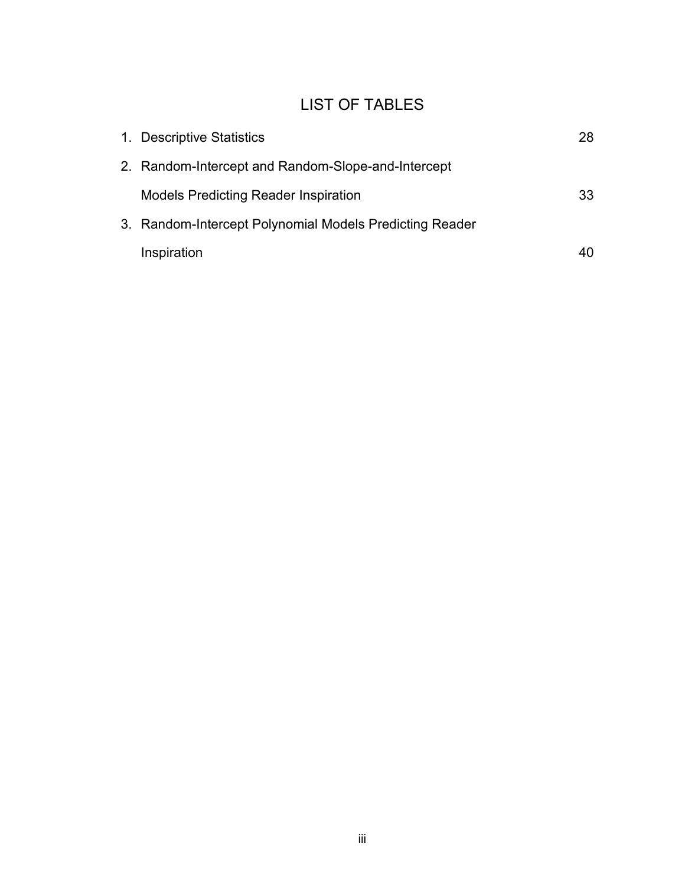## LIST OF TABLES

| 1. Descriptive Statistics                               | 28 |
|---------------------------------------------------------|----|
| 2. Random-Intercept and Random-Slope-and-Intercept      |    |
| <b>Models Predicting Reader Inspiration</b>             | 33 |
| 3. Random-Intercept Polynomial Models Predicting Reader |    |
| Inspiration                                             |    |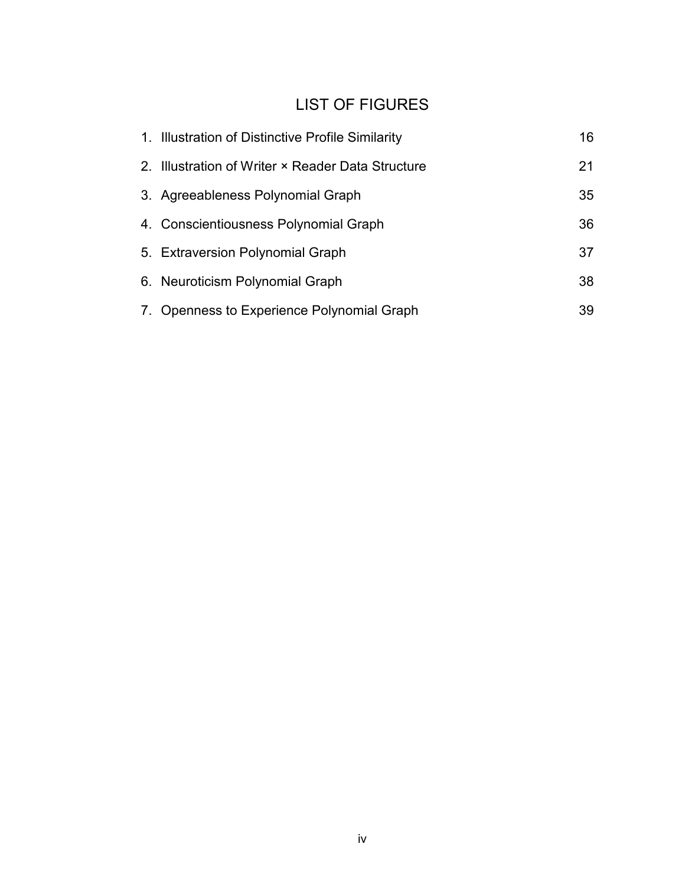## LIST OF FIGURES

| 1. Illustration of Distinctive Profile Similarity | 16 |
|---------------------------------------------------|----|
| 2. Illustration of Writer × Reader Data Structure | 21 |
| 3. Agreeableness Polynomial Graph                 | 35 |
| 4. Conscientiousness Polynomial Graph             | 36 |
| 5. Extraversion Polynomial Graph                  | 37 |
| 6. Neuroticism Polynomial Graph                   | 38 |
| 7. Openness to Experience Polynomial Graph        | 39 |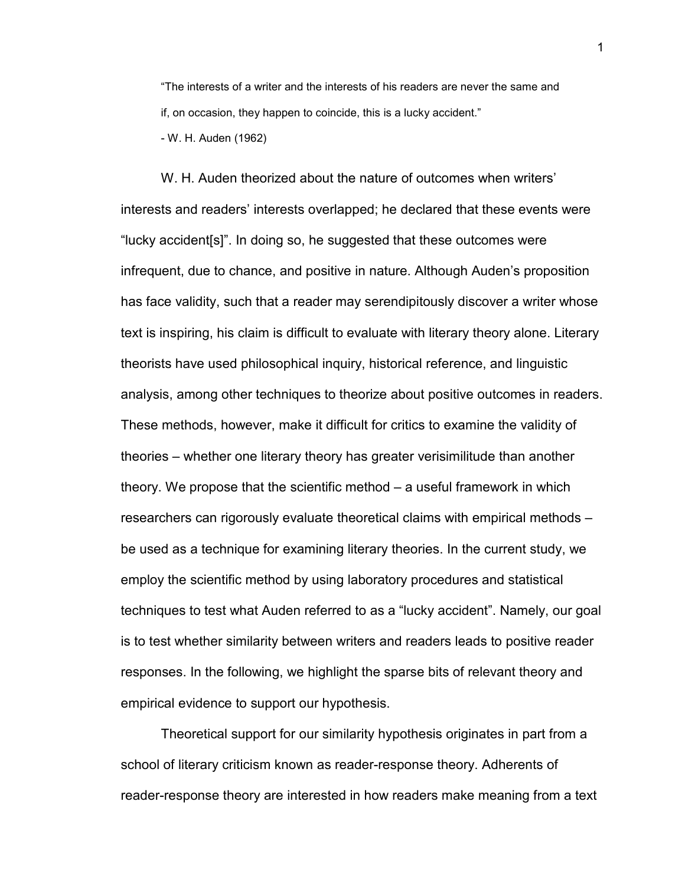"The interests of a writer and the interests of his readers are never the same and if, on occasion, they happen to coincide, this is a lucky accident." - W. H. Auden (1962)

W. H. Auden theorized about the nature of outcomes when writers' interests and readers' interests overlapped; he declared that these events were "lucky accident[s]". In doing so, he suggested that these outcomes were infrequent, due to chance, and positive in nature. Although Auden's proposition has face validity, such that a reader may serendipitously discover a writer whose text is inspiring, his claim is difficult to evaluate with literary theory alone. Literary theorists have used philosophical inquiry, historical reference, and linguistic analysis, among other techniques to theorize about positive outcomes in readers. These methods, however, make it difficult for critics to examine the validity of theories – whether one literary theory has greater verisimilitude than another theory. We propose that the scientific method – a useful framework in which researchers can rigorously evaluate theoretical claims with empirical methods – be used as a technique for examining literary theories. In the current study, we employ the scientific method by using laboratory procedures and statistical techniques to test what Auden referred to as a "lucky accident". Namely, our goal is to test whether similarity between writers and readers leads to positive reader responses. In the following, we highlight the sparse bits of relevant theory and empirical evidence to support our hypothesis.

Theoretical support for our similarity hypothesis originates in part from a school of literary criticism known as reader-response theory. Adherents of reader-response theory are interested in how readers make meaning from a text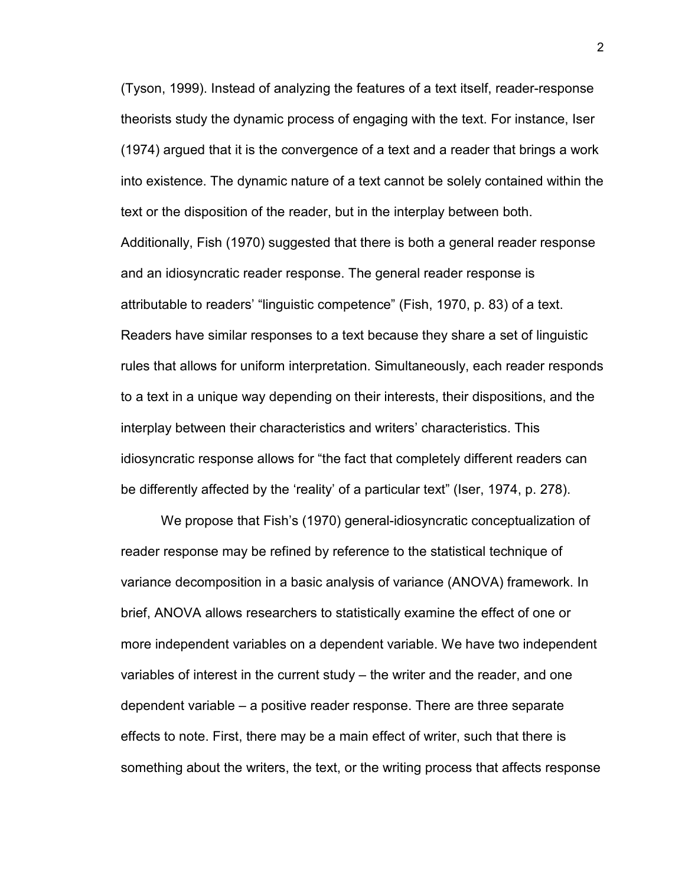(Tyson, 1999). Instead of analyzing the features of a text itself, reader-response theorists study the dynamic process of engaging with the text. For instance, Iser (1974) argued that it is the convergence of a text and a reader that brings a work into existence. The dynamic nature of a text cannot be solely contained within the text or the disposition of the reader, but in the interplay between both. Additionally, Fish (1970) suggested that there is both a general reader response and an idiosyncratic reader response. The general reader response is attributable to readers' "linguistic competence" (Fish, 1970, p. 83) of a text. Readers have similar responses to a text because they share a set of linguistic rules that allows for uniform interpretation. Simultaneously, each reader responds to a text in a unique way depending on their interests, their dispositions, and the interplay between their characteristics and writers' characteristics. This idiosyncratic response allows for "the fact that completely different readers can be differently affected by the 'reality' of a particular text" (Iser, 1974, p. 278).

We propose that Fish's (1970) general-idiosyncratic conceptualization of reader response may be refined by reference to the statistical technique of variance decomposition in a basic analysis of variance (ANOVA) framework. In brief, ANOVA allows researchers to statistically examine the effect of one or more independent variables on a dependent variable. We have two independent variables of interest in the current study – the writer and the reader, and one dependent variable – a positive reader response. There are three separate effects to note. First, there may be a main effect of writer, such that there is something about the writers, the text, or the writing process that affects response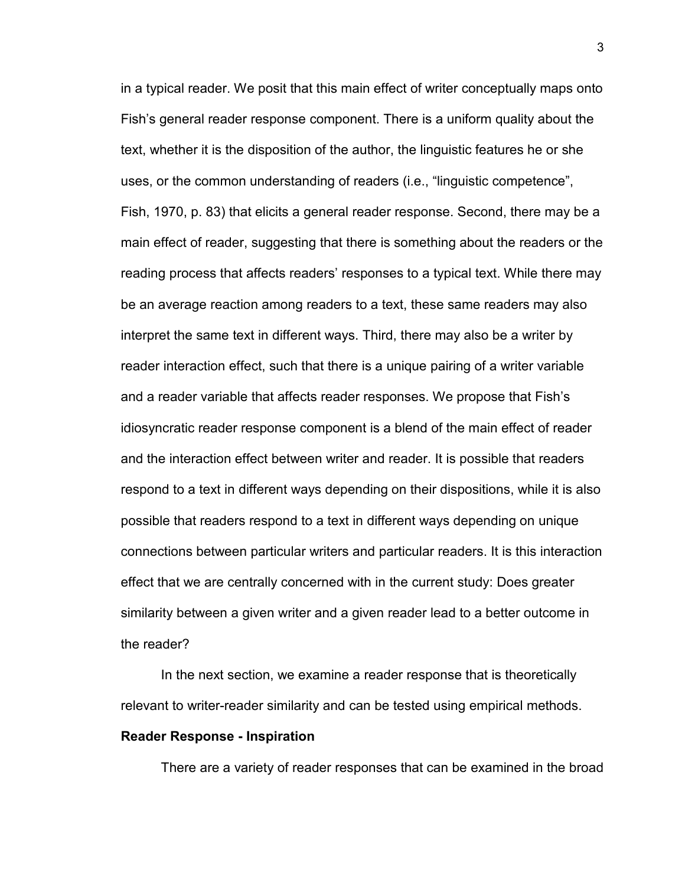in a typical reader. We posit that this main effect of writer conceptually maps onto Fish's general reader response component. There is a uniform quality about the text, whether it is the disposition of the author, the linguistic features he or she uses, or the common understanding of readers (i.e., "linguistic competence", Fish, 1970, p. 83) that elicits a general reader response. Second, there may be a main effect of reader, suggesting that there is something about the readers or the reading process that affects readers' responses to a typical text. While there may be an average reaction among readers to a text, these same readers may also interpret the same text in different ways. Third, there may also be a writer by reader interaction effect, such that there is a unique pairing of a writer variable and a reader variable that affects reader responses. We propose that Fish's idiosyncratic reader response component is a blend of the main effect of reader and the interaction effect between writer and reader. It is possible that readers respond to a text in different ways depending on their dispositions, while it is also possible that readers respond to a text in different ways depending on unique connections between particular writers and particular readers. It is this interaction effect that we are centrally concerned with in the current study: Does greater similarity between a given writer and a given reader lead to a better outcome in the reader?

In the next section, we examine a reader response that is theoretically relevant to writer-reader similarity and can be tested using empirical methods.

#### **Reader Response - Inspiration**

There are a variety of reader responses that can be examined in the broad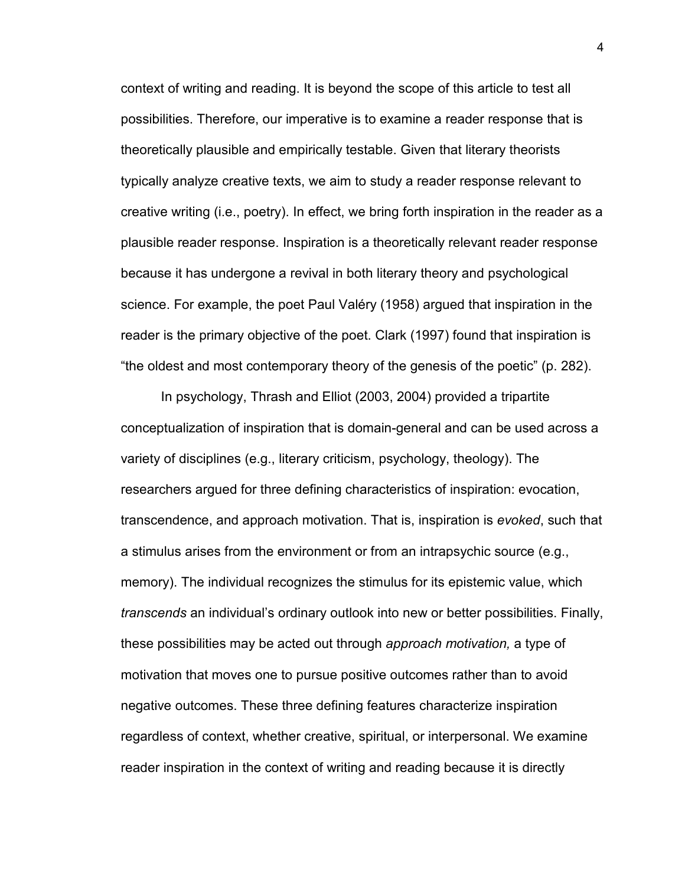context of writing and reading. It is beyond the scope of this article to test all possibilities. Therefore, our imperative is to examine a reader response that is theoretically plausible and empirically testable. Given that literary theorists typically analyze creative texts, we aim to study a reader response relevant to creative writing (i.e., poetry). In effect, we bring forth inspiration in the reader as a plausible reader response. Inspiration is a theoretically relevant reader response because it has undergone a revival in both literary theory and psychological science. For example, the poet Paul Valéry (1958) argued that inspiration in the reader is the primary objective of the poet. Clark (1997) found that inspiration is "the oldest and most contemporary theory of the genesis of the poetic" (p. 282).

In psychology, Thrash and Elliot (2003, 2004) provided a tripartite conceptualization of inspiration that is domain-general and can be used across a variety of disciplines (e.g., literary criticism, psychology, theology). The researchers argued for three defining characteristics of inspiration: evocation, transcendence, and approach motivation. That is, inspiration is *evoked*, such that a stimulus arises from the environment or from an intrapsychic source (e.g., memory). The individual recognizes the stimulus for its epistemic value, which *transcends* an individual's ordinary outlook into new or better possibilities. Finally, these possibilities may be acted out through *approach motivation,* a type of motivation that moves one to pursue positive outcomes rather than to avoid negative outcomes. These three defining features characterize inspiration regardless of context, whether creative, spiritual, or interpersonal. We examine reader inspiration in the context of writing and reading because it is directly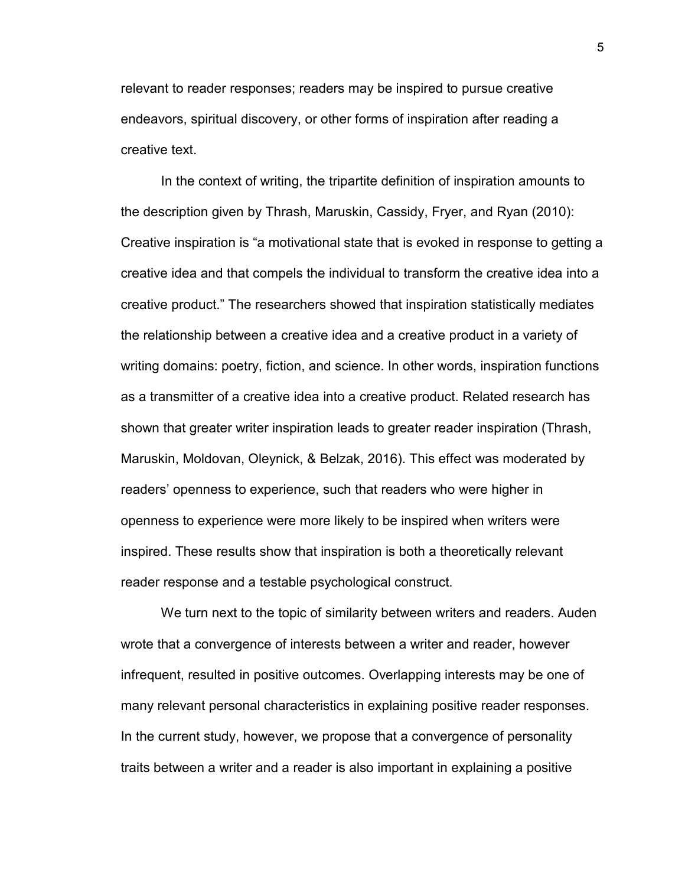relevant to reader responses; readers may be inspired to pursue creative endeavors, spiritual discovery, or other forms of inspiration after reading a creative text.

In the context of writing, the tripartite definition of inspiration amounts to the description given by Thrash, Maruskin, Cassidy, Fryer, and Ryan (2010): Creative inspiration is "a motivational state that is evoked in response to getting a creative idea and that compels the individual to transform the creative idea into a creative product." The researchers showed that inspiration statistically mediates the relationship between a creative idea and a creative product in a variety of writing domains: poetry, fiction, and science. In other words, inspiration functions as a transmitter of a creative idea into a creative product. Related research has shown that greater writer inspiration leads to greater reader inspiration (Thrash, Maruskin, Moldovan, Oleynick, & Belzak, 2016). This effect was moderated by readers' openness to experience, such that readers who were higher in openness to experience were more likely to be inspired when writers were inspired. These results show that inspiration is both a theoretically relevant reader response and a testable psychological construct.

We turn next to the topic of similarity between writers and readers. Auden wrote that a convergence of interests between a writer and reader, however infrequent, resulted in positive outcomes. Overlapping interests may be one of many relevant personal characteristics in explaining positive reader responses. In the current study, however, we propose that a convergence of personality traits between a writer and a reader is also important in explaining a positive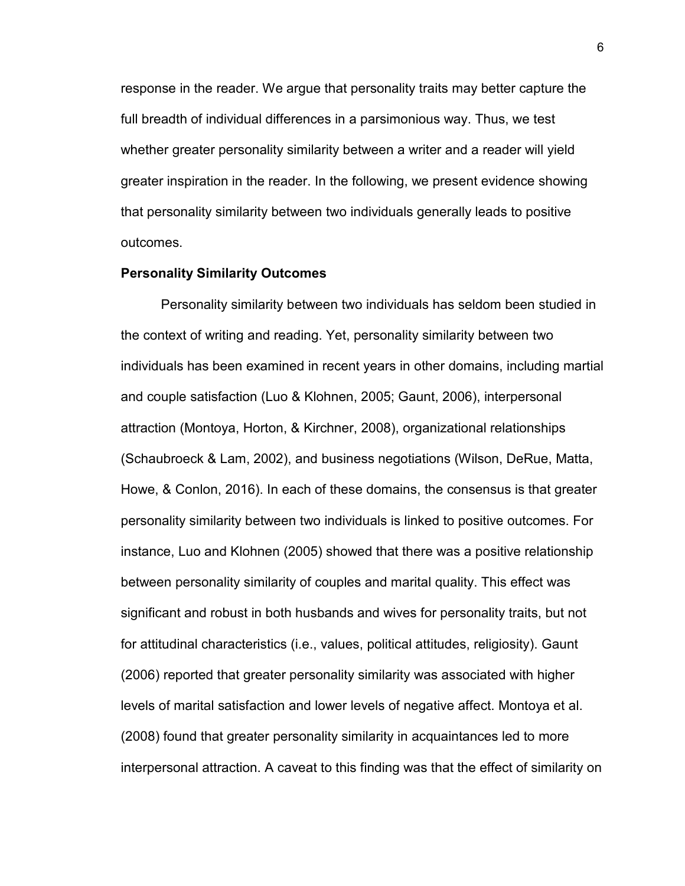response in the reader. We argue that personality traits may better capture the full breadth of individual differences in a parsimonious way. Thus, we test whether greater personality similarity between a writer and a reader will yield greater inspiration in the reader. In the following, we present evidence showing that personality similarity between two individuals generally leads to positive outcomes.

#### **Personality Similarity Outcomes**

Personality similarity between two individuals has seldom been studied in the context of writing and reading. Yet, personality similarity between two individuals has been examined in recent years in other domains, including martial and couple satisfaction (Luo & Klohnen, 2005; Gaunt, 2006), interpersonal attraction (Montoya, Horton, & Kirchner, 2008), organizational relationships (Schaubroeck & Lam, 2002), and business negotiations (Wilson, DeRue, Matta, Howe, & Conlon, 2016). In each of these domains, the consensus is that greater personality similarity between two individuals is linked to positive outcomes. For instance, Luo and Klohnen (2005) showed that there was a positive relationship between personality similarity of couples and marital quality. This effect was significant and robust in both husbands and wives for personality traits, but not for attitudinal characteristics (i.e., values, political attitudes, religiosity). Gaunt (2006) reported that greater personality similarity was associated with higher levels of marital satisfaction and lower levels of negative affect. Montoya et al. (2008) found that greater personality similarity in acquaintances led to more interpersonal attraction. A caveat to this finding was that the effect of similarity on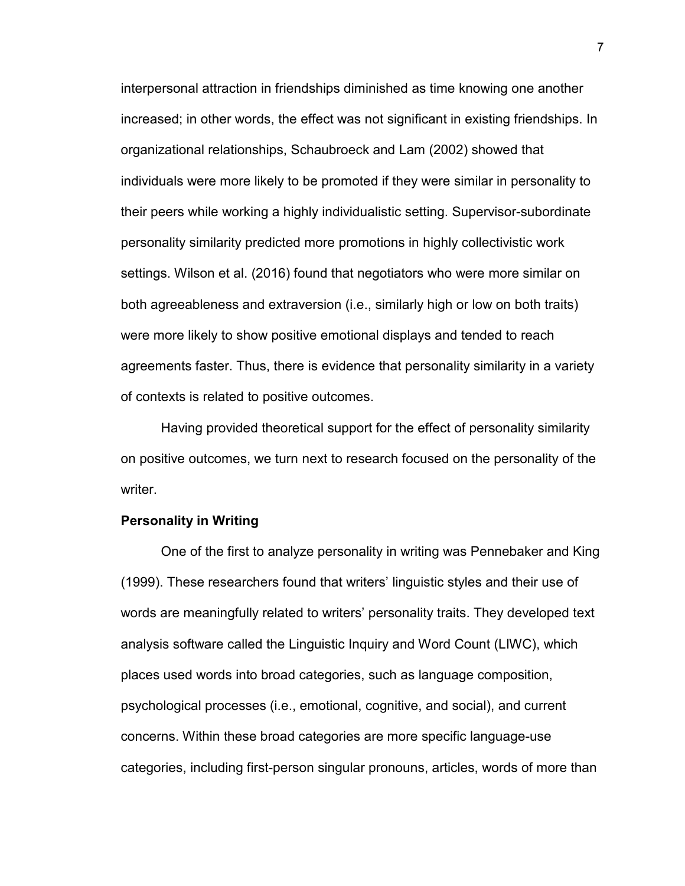interpersonal attraction in friendships diminished as time knowing one another increased; in other words, the effect was not significant in existing friendships. In organizational relationships, Schaubroeck and Lam (2002) showed that individuals were more likely to be promoted if they were similar in personality to their peers while working a highly individualistic setting. Supervisor-subordinate personality similarity predicted more promotions in highly collectivistic work settings. Wilson et al. (2016) found that negotiators who were more similar on both agreeableness and extraversion (i.e., similarly high or low on both traits) were more likely to show positive emotional displays and tended to reach agreements faster. Thus, there is evidence that personality similarity in a variety of contexts is related to positive outcomes.

Having provided theoretical support for the effect of personality similarity on positive outcomes, we turn next to research focused on the personality of the writer.

#### **Personality in Writing**

One of the first to analyze personality in writing was Pennebaker and King (1999). These researchers found that writers' linguistic styles and their use of words are meaningfully related to writers' personality traits. They developed text analysis software called the Linguistic Inquiry and Word Count (LIWC), which places used words into broad categories, such as language composition, psychological processes (i.e., emotional, cognitive, and social), and current concerns. Within these broad categories are more specific language-use categories, including first-person singular pronouns, articles, words of more than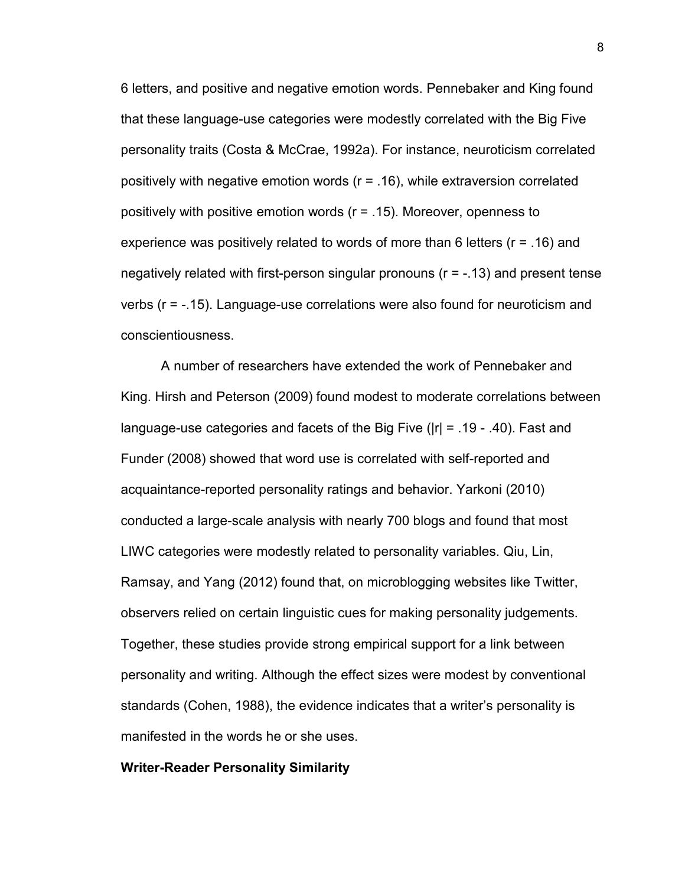6 letters, and positive and negative emotion words. Pennebaker and King found that these language-use categories were modestly correlated with the Big Five personality traits (Costa & McCrae, 1992a). For instance, neuroticism correlated positively with negative emotion words (r = .16), while extraversion correlated positively with positive emotion words (r = .15). Moreover, openness to experience was positively related to words of more than 6 letters (r = .16) and negatively related with first-person singular pronouns (r = -.13) and present tense verbs (r = -.15). Language-use correlations were also found for neuroticism and conscientiousness.

A number of researchers have extended the work of Pennebaker and King. Hirsh and Peterson (2009) found modest to moderate correlations between language-use categories and facets of the Big Five (|r| = .19 - .40). Fast and Funder (2008) showed that word use is correlated with self-reported and acquaintance-reported personality ratings and behavior. Yarkoni (2010) conducted a large-scale analysis with nearly 700 blogs and found that most LIWC categories were modestly related to personality variables. Qiu, Lin, Ramsay, and Yang (2012) found that, on microblogging websites like Twitter, observers relied on certain linguistic cues for making personality judgements. Together, these studies provide strong empirical support for a link between personality and writing. Although the effect sizes were modest by conventional standards (Cohen, 1988), the evidence indicates that a writer's personality is manifested in the words he or she uses.

#### **Writer-Reader Personality Similarity**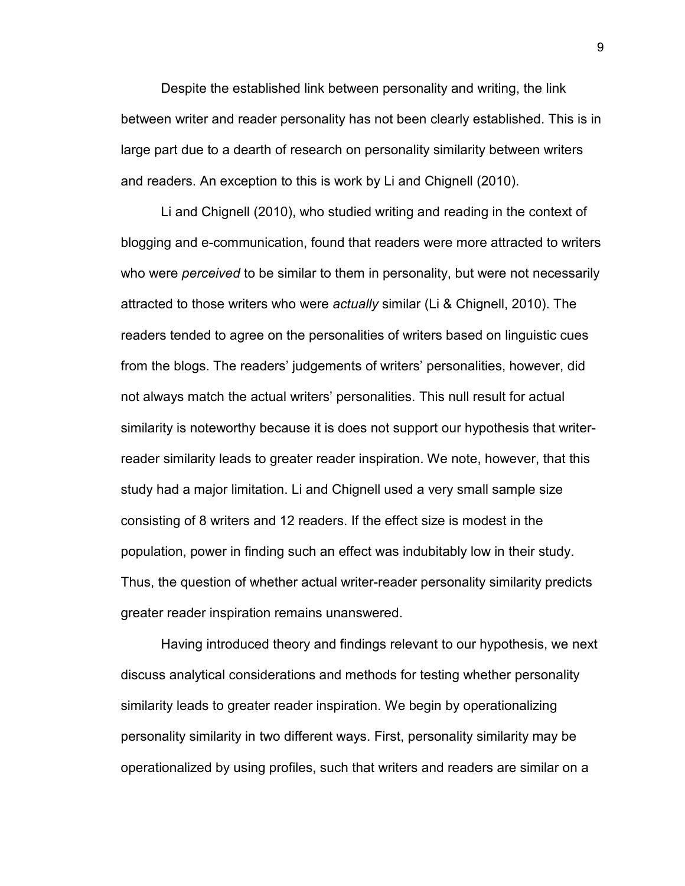Despite the established link between personality and writing, the link between writer and reader personality has not been clearly established. This is in large part due to a dearth of research on personality similarity between writers and readers. An exception to this is work by Li and Chignell (2010).

Li and Chignell (2010), who studied writing and reading in the context of blogging and e-communication, found that readers were more attracted to writers who were *perceived* to be similar to them in personality, but were not necessarily attracted to those writers who were *actually* similar (Li & Chignell, 2010). The readers tended to agree on the personalities of writers based on linguistic cues from the blogs. The readers' judgements of writers' personalities, however, did not always match the actual writers' personalities. This null result for actual similarity is noteworthy because it is does not support our hypothesis that writerreader similarity leads to greater reader inspiration. We note, however, that this study had a major limitation. Li and Chignell used a very small sample size consisting of 8 writers and 12 readers. If the effect size is modest in the population, power in finding such an effect was indubitably low in their study. Thus, the question of whether actual writer-reader personality similarity predicts greater reader inspiration remains unanswered.

Having introduced theory and findings relevant to our hypothesis, we next discuss analytical considerations and methods for testing whether personality similarity leads to greater reader inspiration. We begin by operationalizing personality similarity in two different ways. First, personality similarity may be operationalized by using profiles, such that writers and readers are similar on a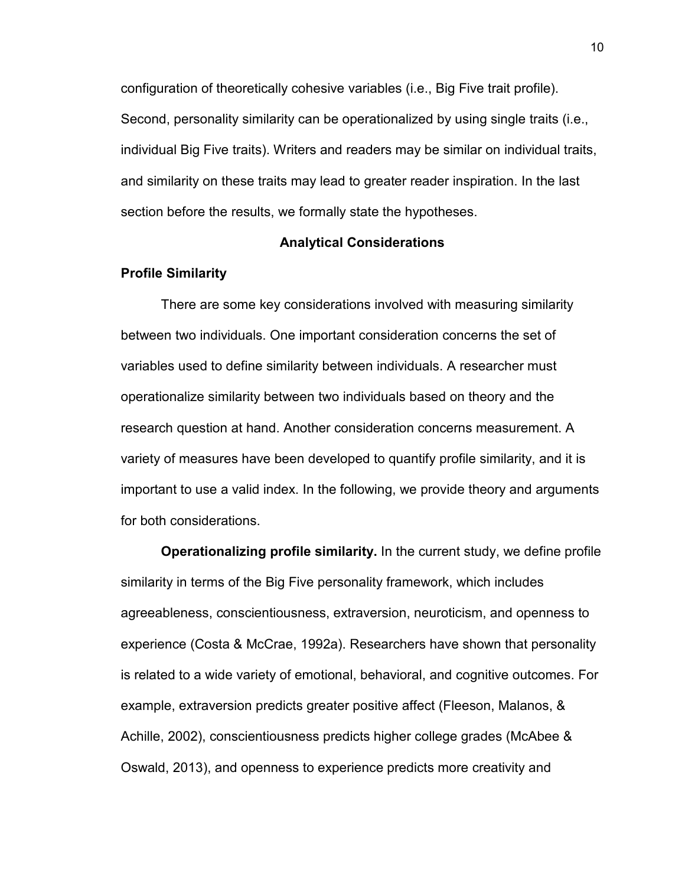configuration of theoretically cohesive variables (i.e., Big Five trait profile). Second, personality similarity can be operationalized by using single traits (i.e., individual Big Five traits). Writers and readers may be similar on individual traits, and similarity on these traits may lead to greater reader inspiration. In the last section before the results, we formally state the hypotheses.

#### **Analytical Considerations**

#### **Profile Similarity**

There are some key considerations involved with measuring similarity between two individuals. One important consideration concerns the set of variables used to define similarity between individuals. A researcher must operationalize similarity between two individuals based on theory and the research question at hand. Another consideration concerns measurement. A variety of measures have been developed to quantify profile similarity, and it is important to use a valid index. In the following, we provide theory and arguments for both considerations.

**Operationalizing profile similarity.** In the current study, we define profile similarity in terms of the Big Five personality framework, which includes agreeableness, conscientiousness, extraversion, neuroticism, and openness to experience (Costa & McCrae, 1992a). Researchers have shown that personality is related to a wide variety of emotional, behavioral, and cognitive outcomes. For example, extraversion predicts greater positive affect (Fleeson, Malanos, & Achille, 2002), conscientiousness predicts higher college grades (McAbee & Oswald, 2013), and openness to experience predicts more creativity and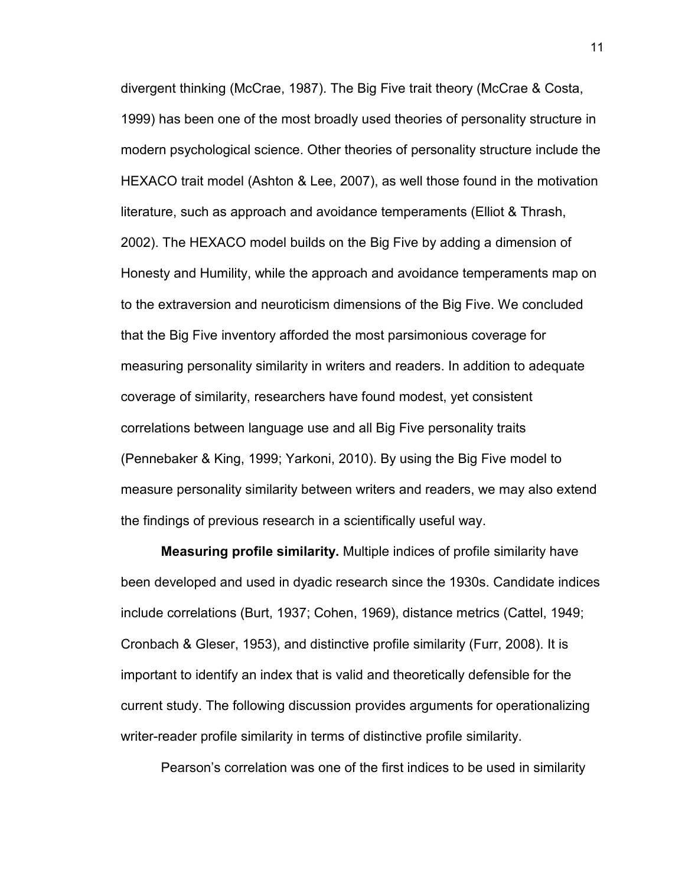divergent thinking (McCrae, 1987). The Big Five trait theory (McCrae & Costa, 1999) has been one of the most broadly used theories of personality structure in modern psychological science. Other theories of personality structure include the HEXACO trait model (Ashton & Lee, 2007), as well those found in the motivation literature, such as approach and avoidance temperaments (Elliot & Thrash, 2002). The HEXACO model builds on the Big Five by adding a dimension of Honesty and Humility, while the approach and avoidance temperaments map on to the extraversion and neuroticism dimensions of the Big Five. We concluded that the Big Five inventory afforded the most parsimonious coverage for measuring personality similarity in writers and readers. In addition to adequate coverage of similarity, researchers have found modest, yet consistent correlations between language use and all Big Five personality traits (Pennebaker & King, 1999; Yarkoni, 2010). By using the Big Five model to measure personality similarity between writers and readers, we may also extend the findings of previous research in a scientifically useful way.

**Measuring profile similarity.** Multiple indices of profile similarity have been developed and used in dyadic research since the 1930s. Candidate indices include correlations (Burt, 1937; Cohen, 1969), distance metrics (Cattel, 1949; Cronbach & Gleser, 1953), and distinctive profile similarity (Furr, 2008). It is important to identify an index that is valid and theoretically defensible for the current study. The following discussion provides arguments for operationalizing writer-reader profile similarity in terms of distinctive profile similarity.

Pearson's correlation was one of the first indices to be used in similarity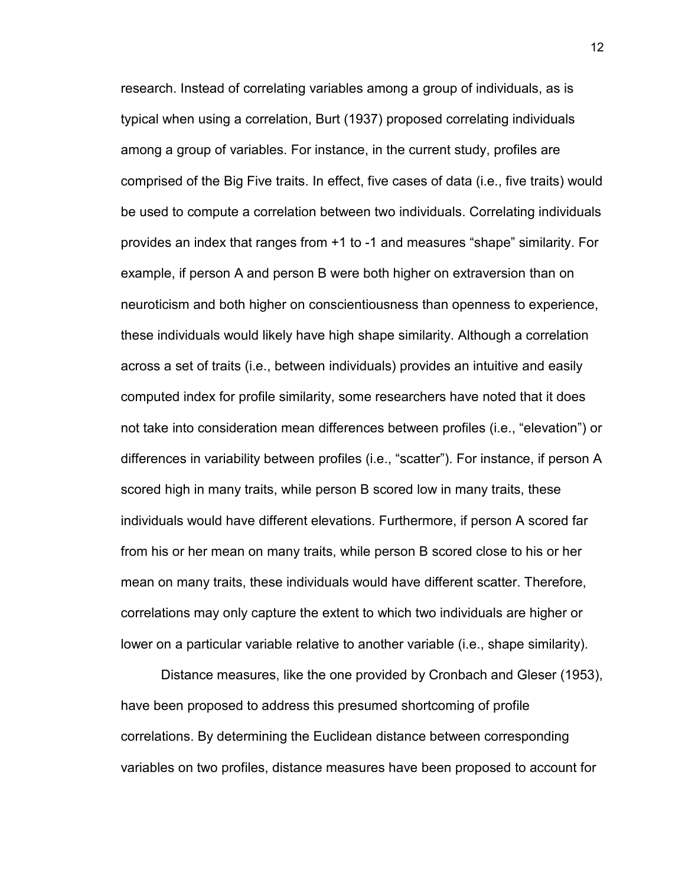research. Instead of correlating variables among a group of individuals, as is typical when using a correlation, Burt (1937) proposed correlating individuals among a group of variables. For instance, in the current study, profiles are comprised of the Big Five traits. In effect, five cases of data (i.e., five traits) would be used to compute a correlation between two individuals. Correlating individuals provides an index that ranges from +1 to -1 and measures "shape" similarity. For example, if person A and person B were both higher on extraversion than on neuroticism and both higher on conscientiousness than openness to experience, these individuals would likely have high shape similarity. Although a correlation across a set of traits (i.e., between individuals) provides an intuitive and easily computed index for profile similarity, some researchers have noted that it does not take into consideration mean differences between profiles (i.e., "elevation") or differences in variability between profiles (i.e., "scatter"). For instance, if person A scored high in many traits, while person B scored low in many traits, these individuals would have different elevations. Furthermore, if person A scored far from his or her mean on many traits, while person B scored close to his or her mean on many traits, these individuals would have different scatter. Therefore, correlations may only capture the extent to which two individuals are higher or lower on a particular variable relative to another variable (i.e., shape similarity).

Distance measures, like the one provided by Cronbach and Gleser (1953), have been proposed to address this presumed shortcoming of profile correlations. By determining the Euclidean distance between corresponding variables on two profiles, distance measures have been proposed to account for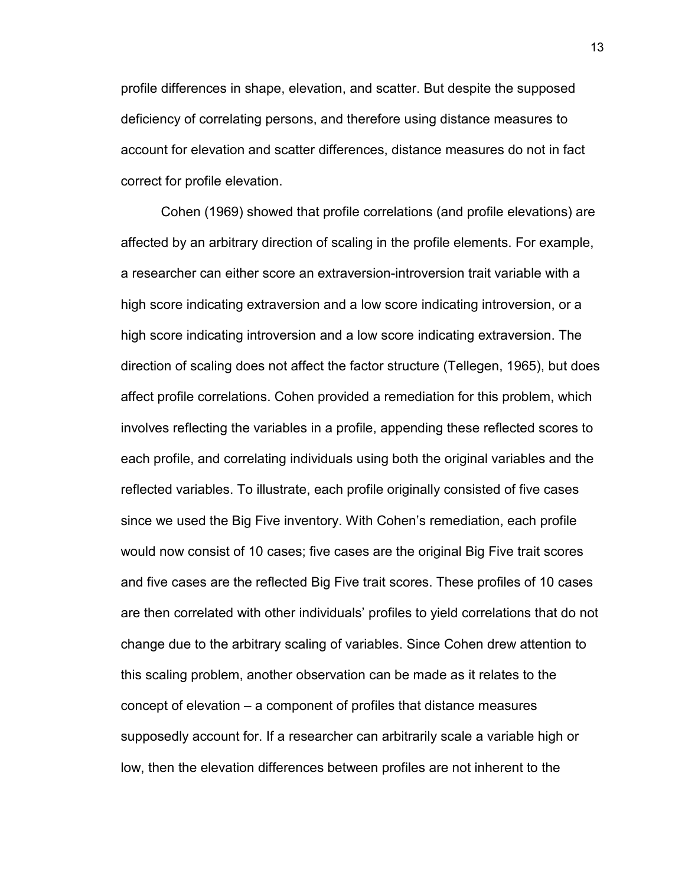profile differences in shape, elevation, and scatter. But despite the supposed deficiency of correlating persons, and therefore using distance measures to account for elevation and scatter differences, distance measures do not in fact correct for profile elevation.

Cohen (1969) showed that profile correlations (and profile elevations) are affected by an arbitrary direction of scaling in the profile elements. For example, a researcher can either score an extraversion-introversion trait variable with a high score indicating extraversion and a low score indicating introversion, or a high score indicating introversion and a low score indicating extraversion. The direction of scaling does not affect the factor structure (Tellegen, 1965), but does affect profile correlations. Cohen provided a remediation for this problem, which involves reflecting the variables in a profile, appending these reflected scores to each profile, and correlating individuals using both the original variables and the reflected variables. To illustrate, each profile originally consisted of five cases since we used the Big Five inventory. With Cohen's remediation, each profile would now consist of 10 cases; five cases are the original Big Five trait scores and five cases are the reflected Big Five trait scores. These profiles of 10 cases are then correlated with other individuals' profiles to yield correlations that do not change due to the arbitrary scaling of variables. Since Cohen drew attention to this scaling problem, another observation can be made as it relates to the concept of elevation – a component of profiles that distance measures supposedly account for. If a researcher can arbitrarily scale a variable high or low, then the elevation differences between profiles are not inherent to the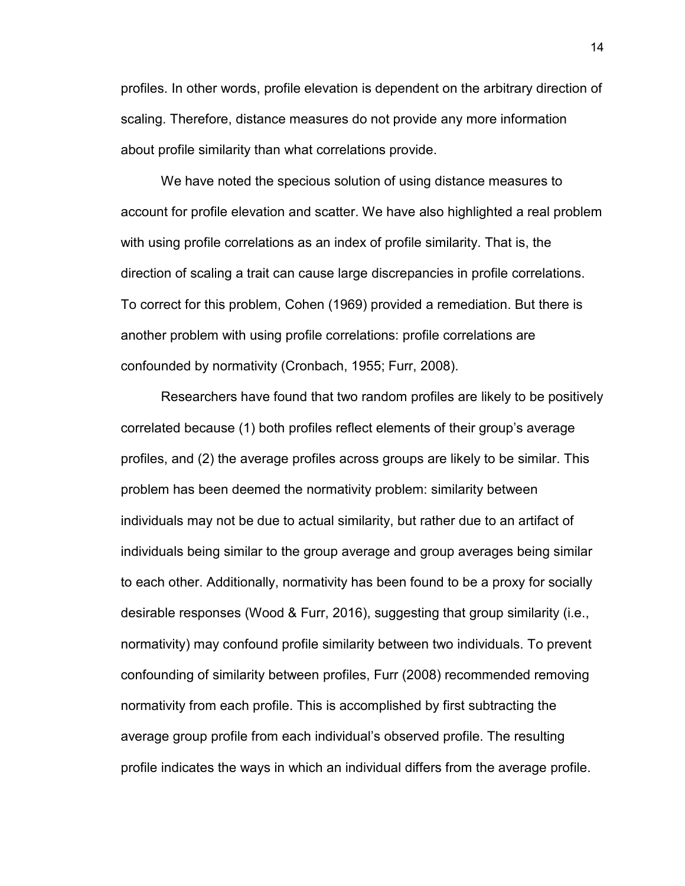profiles. In other words, profile elevation is dependent on the arbitrary direction of scaling. Therefore, distance measures do not provide any more information about profile similarity than what correlations provide.

 We have noted the specious solution of using distance measures to account for profile elevation and scatter. We have also highlighted a real problem with using profile correlations as an index of profile similarity. That is, the direction of scaling a trait can cause large discrepancies in profile correlations. To correct for this problem, Cohen (1969) provided a remediation. But there is another problem with using profile correlations: profile correlations are confounded by normativity (Cronbach, 1955; Furr, 2008).

Researchers have found that two random profiles are likely to be positively correlated because (1) both profiles reflect elements of their group's average profiles, and (2) the average profiles across groups are likely to be similar. This problem has been deemed the normativity problem: similarity between individuals may not be due to actual similarity, but rather due to an artifact of individuals being similar to the group average and group averages being similar to each other. Additionally, normativity has been found to be a proxy for socially desirable responses (Wood & Furr, 2016), suggesting that group similarity (i.e., normativity) may confound profile similarity between two individuals. To prevent confounding of similarity between profiles, Furr (2008) recommended removing normativity from each profile. This is accomplished by first subtracting the average group profile from each individual's observed profile. The resulting profile indicates the ways in which an individual differs from the average profile.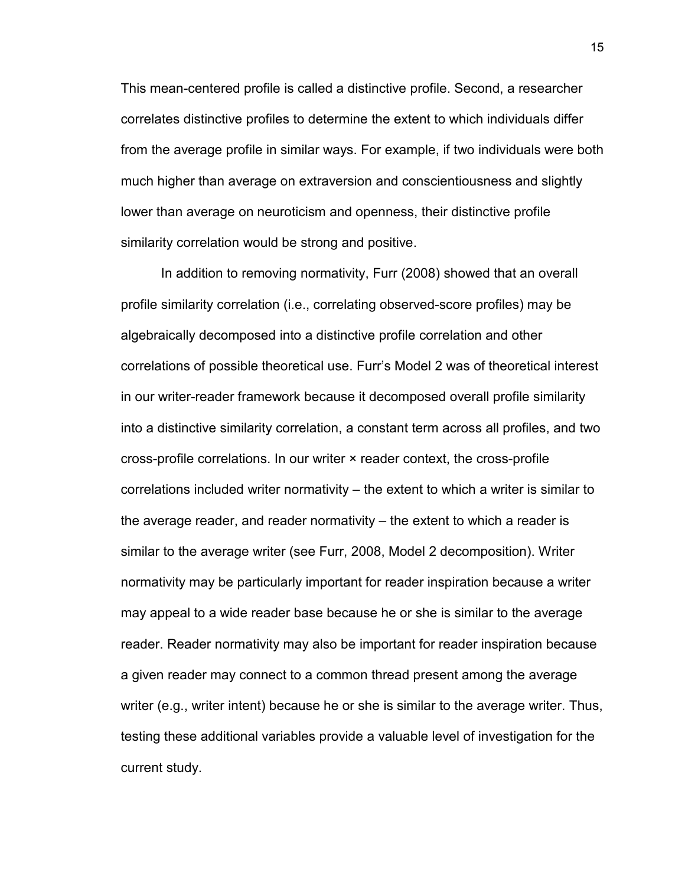This mean-centered profile is called a distinctive profile. Second, a researcher correlates distinctive profiles to determine the extent to which individuals differ from the average profile in similar ways. For example, if two individuals were both much higher than average on extraversion and conscientiousness and slightly lower than average on neuroticism and openness, their distinctive profile similarity correlation would be strong and positive.

 In addition to removing normativity, Furr (2008) showed that an overall profile similarity correlation (i.e., correlating observed-score profiles) may be algebraically decomposed into a distinctive profile correlation and other correlations of possible theoretical use. Furr's Model 2 was of theoretical interest in our writer-reader framework because it decomposed overall profile similarity into a distinctive similarity correlation, a constant term across all profiles, and two cross-profile correlations. In our writer × reader context, the cross-profile correlations included writer normativity – the extent to which a writer is similar to the average reader, and reader normativity – the extent to which a reader is similar to the average writer (see Furr, 2008, Model 2 decomposition). Writer normativity may be particularly important for reader inspiration because a writer may appeal to a wide reader base because he or she is similar to the average reader. Reader normativity may also be important for reader inspiration because a given reader may connect to a common thread present among the average writer (e.g., writer intent) because he or she is similar to the average writer. Thus, testing these additional variables provide a valuable level of investigation for the current study.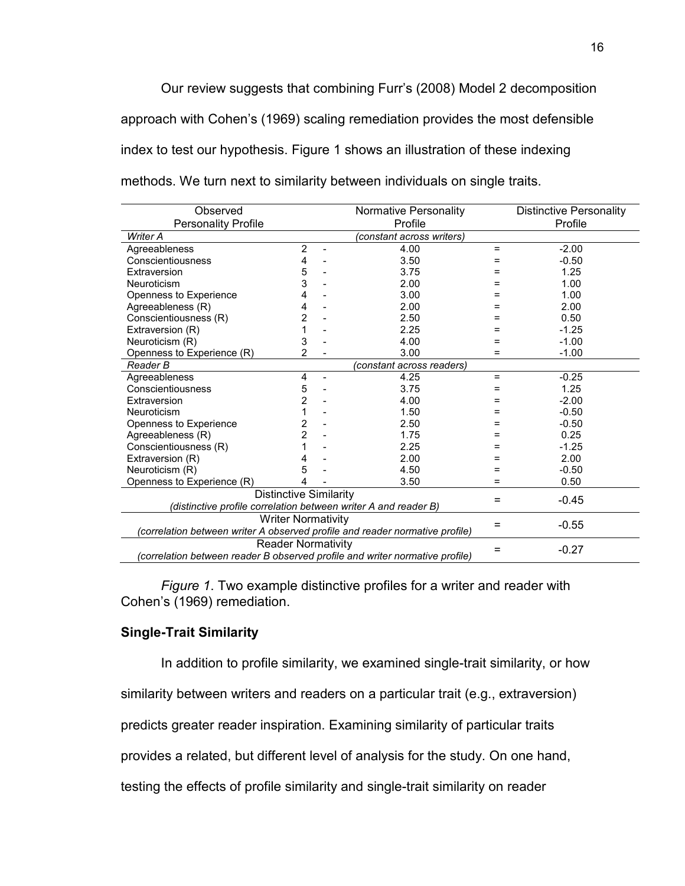Our review suggests that combining Furr's (2008) Model 2 decomposition approach with Cohen's (1969) scaling remediation provides the most defensible index to test our hypothesis. Figure 1 shows an illustration of these indexing methods. We turn next to similarity between individuals on single traits.

| Observed<br>Normative Personality                                            |                |                          |                           |         | <b>Distinctive Personality</b> |
|------------------------------------------------------------------------------|----------------|--------------------------|---------------------------|---------|--------------------------------|
| <b>Personality Profile</b><br>Profile                                        |                |                          |                           | Profile |                                |
| Writer A                                                                     |                |                          |                           |         |                                |
| Agreeableness                                                                | $\overline{2}$ | $\overline{\phantom{a}}$ | 4.00                      | $=$     | $-2.00$                        |
| Conscientiousness                                                            | 4              |                          | 3.50                      | =       | $-0.50$                        |
| Extraversion                                                                 | 5              |                          | 3.75                      | Ξ       | 1.25                           |
| Neuroticism                                                                  | 3              |                          | 2.00                      | =       | 1.00                           |
| Openness to Experience                                                       | 4              |                          | 3.00                      | =       | 1.00                           |
| Agreeableness (R)                                                            | 4              |                          | 2.00                      | =       | 2.00                           |
| Conscientiousness (R)                                                        | 2              |                          | 2.50                      | =       | 0.50                           |
| Extraversion (R)                                                             | 1              |                          | 2.25                      | =       | $-1.25$                        |
| Neuroticism (R)                                                              | 3              |                          | 4.00                      | =       | $-1.00$                        |
| Openness to Experience (R)                                                   | 2              |                          | 3.00                      | $=$     | $-1.00$                        |
| Reader B                                                                     |                |                          | (constant across readers) |         |                                |
| Agreeableness                                                                | 4              | $\overline{a}$           | 4.25                      | $=$     | $-0.25$                        |
| Conscientiousness                                                            | 5              |                          | 3.75                      | $=$     | 1.25                           |
| Extraversion                                                                 | $\overline{c}$ |                          | 4.00                      | =       | $-2.00$                        |
| Neuroticism                                                                  | 1              |                          | 1.50                      | =       | $-0.50$                        |
| Openness to Experience                                                       | 2              |                          | 2.50                      | =       | $-0.50$                        |
| Agreeableness (R)                                                            | 2              |                          | 1.75                      | $=$     | 0.25                           |
| Conscientiousness (R)                                                        | 1              |                          | 2.25                      | =       | $-1.25$                        |
| Extraversion (R)                                                             | 4              |                          | 2.00                      | =       | 2.00                           |
| Neuroticism (R)                                                              | 5              |                          | 4.50                      | =       | $-0.50$                        |
| Openness to Experience (R)                                                   | 4              |                          | 3.50                      | $=$     | 0.50                           |
| <b>Distinctive Similarity</b>                                                |                |                          |                           |         | $-0.45$                        |
| (distinctive profile correlation between writer A and reader B)              |                |                          |                           |         |                                |
| <b>Writer Normativity</b>                                                    |                |                          |                           |         |                                |
| (correlation between writer A observed profile and reader normative profile) |                |                          |                           |         | $-0.55$                        |
| <b>Reader Normativity</b>                                                    |                |                          |                           |         |                                |
| (correlation between reader B observed profile and writer normative profile) |                |                          |                           |         | $-0.27$                        |

*Figure 1*. Two example distinctive profiles for a writer and reader with Cohen's (1969) remediation.

#### **Single-Trait Similarity**

In addition to profile similarity, we examined single-trait similarity, or how

similarity between writers and readers on a particular trait (e.g., extraversion)

predicts greater reader inspiration. Examining similarity of particular traits

provides a related, but different level of analysis for the study. On one hand,

testing the effects of profile similarity and single-trait similarity on reader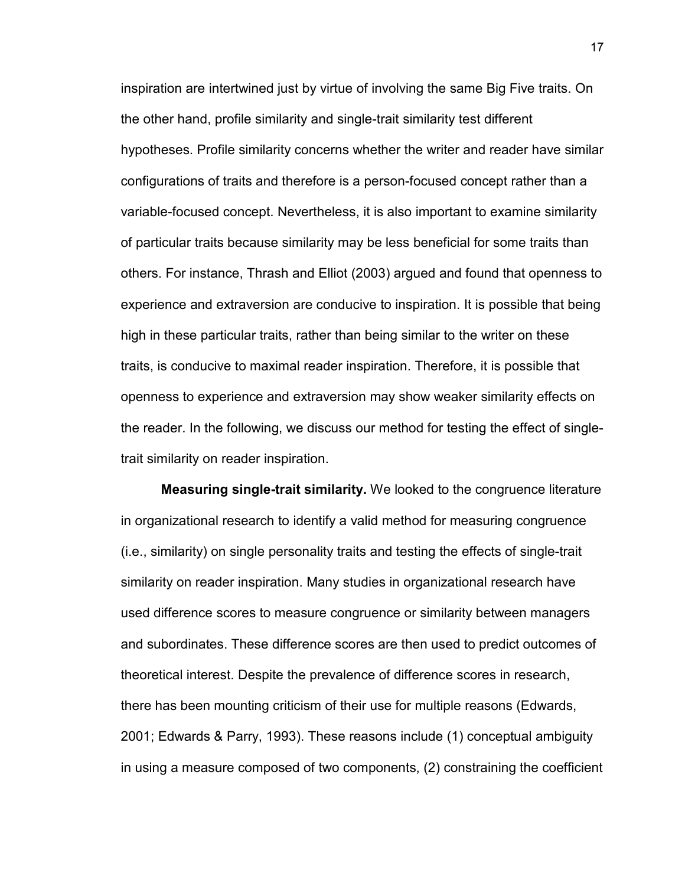inspiration are intertwined just by virtue of involving the same Big Five traits. On the other hand, profile similarity and single-trait similarity test different hypotheses. Profile similarity concerns whether the writer and reader have similar configurations of traits and therefore is a person-focused concept rather than a variable-focused concept. Nevertheless, it is also important to examine similarity of particular traits because similarity may be less beneficial for some traits than others. For instance, Thrash and Elliot (2003) argued and found that openness to experience and extraversion are conducive to inspiration. It is possible that being high in these particular traits, rather than being similar to the writer on these traits, is conducive to maximal reader inspiration. Therefore, it is possible that openness to experience and extraversion may show weaker similarity effects on the reader. In the following, we discuss our method for testing the effect of singletrait similarity on reader inspiration.

**Measuring single-trait similarity.** We looked to the congruence literature in organizational research to identify a valid method for measuring congruence (i.e., similarity) on single personality traits and testing the effects of single-trait similarity on reader inspiration. Many studies in organizational research have used difference scores to measure congruence or similarity between managers and subordinates. These difference scores are then used to predict outcomes of theoretical interest. Despite the prevalence of difference scores in research, there has been mounting criticism of their use for multiple reasons (Edwards, 2001; Edwards & Parry, 1993). These reasons include (1) conceptual ambiguity in using a measure composed of two components, (2) constraining the coefficient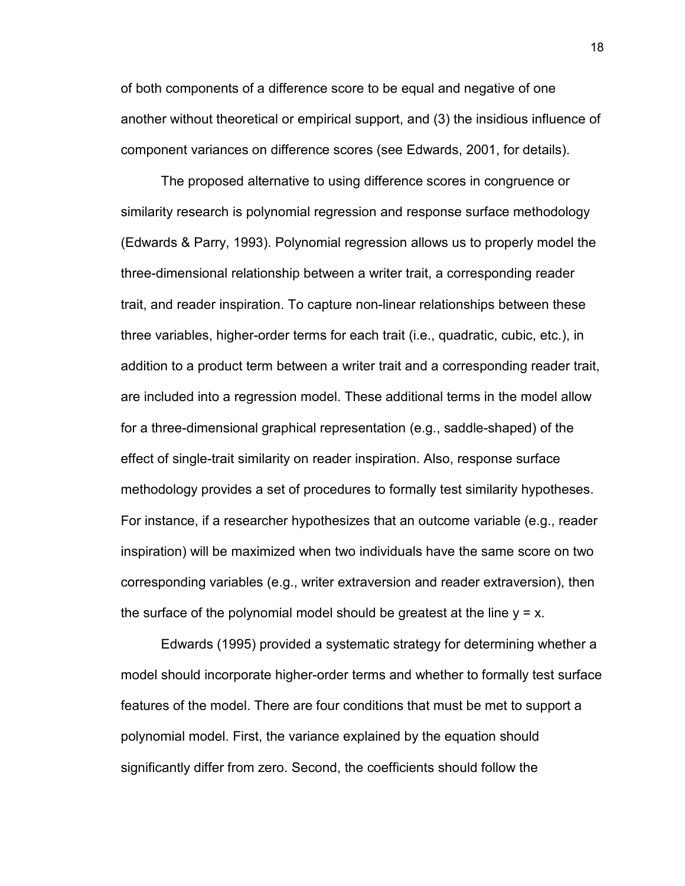of both components of a difference score to be equal and negative of one another without theoretical or empirical support, and (3) the insidious influence of component variances on difference scores (see Edwards, 2001, for details).

 The proposed alternative to using difference scores in congruence or similarity research is polynomial regression and response surface methodology (Edwards & Parry, 1993). Polynomial regression allows us to properly model the three-dimensional relationship between a writer trait, a corresponding reader trait, and reader inspiration. To capture non-linear relationships between these three variables, higher-order terms for each trait (i.e., quadratic, cubic, etc.), in addition to a product term between a writer trait and a corresponding reader trait, are included into a regression model. These additional terms in the model allow for a three-dimensional graphical representation (e.g., saddle-shaped) of the effect of single-trait similarity on reader inspiration. Also, response surface methodology provides a set of procedures to formally test similarity hypotheses. For instance, if a researcher hypothesizes that an outcome variable (e.g., reader inspiration) will be maximized when two individuals have the same score on two corresponding variables (e.g., writer extraversion and reader extraversion), then the surface of the polynomial model should be greatest at the line  $y = x$ .

Edwards (1995) provided a systematic strategy for determining whether a model should incorporate higher-order terms and whether to formally test surface features of the model. There are four conditions that must be met to support a polynomial model. First, the variance explained by the equation should significantly differ from zero. Second, the coefficients should follow the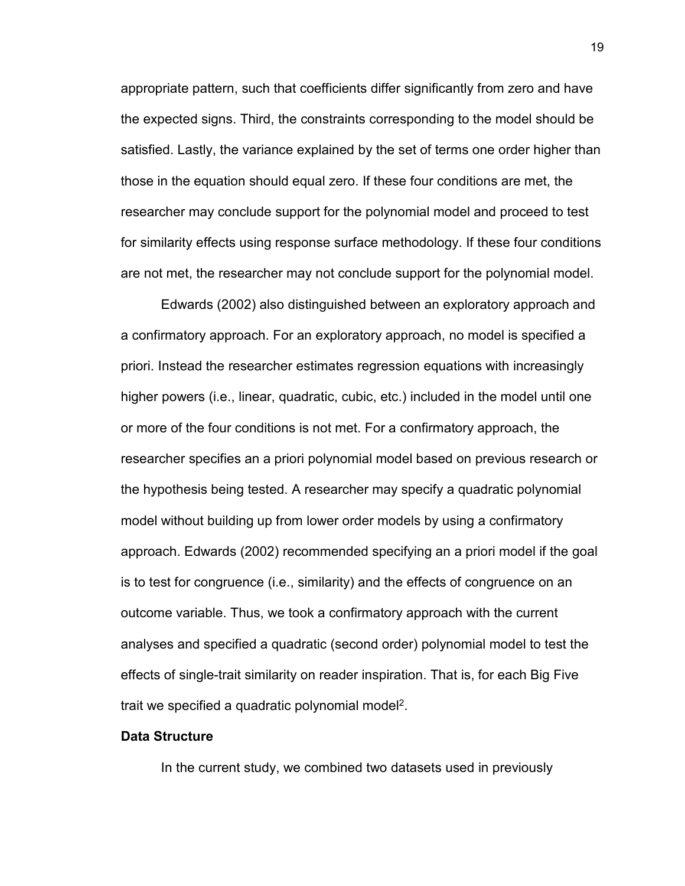appropriate pattern, such that coefficients differ significantly from zero and have the expected signs. Third, the constraints corresponding to the model should be satisfied. Lastly, the variance explained by the set of terms one order higher than those in the equation should equal zero. If these four conditions are met, the researcher may conclude support for the polynomial model and proceed to test for similarity effects using response surface methodology. If these four conditions are not met, the researcher may not conclude support for the polynomial model.

Edwards (2002) also distinguished between an exploratory approach and a confirmatory approach. For an exploratory approach, no model is specified a priori. Instead the researcher estimates regression equations with increasingly higher powers (i.e., linear, quadratic, cubic, etc.) included in the model until one or more of the four conditions is not met. For a confirmatory approach, the researcher specifies an a priori polynomial model based on previous research or the hypothesis being tested. A researcher may specify a quadratic polynomial model without building up from lower order models by using a confirmatory approach. Edwards (2002) recommended specifying an a priori model if the goal is to test for congruence (i.e., similarity) and the effects of congruence on an outcome variable. Thus, we took a confirmatory approach with the current analyses and specified a quadratic (second order) polynomial model to test the effects of single-trait similarity on reader inspiration. That is, for each Big Five trait we specified a quadratic polynomial model<sup>2</sup>.

#### **Data Structure**

In the current study, we combined two datasets used in previously

19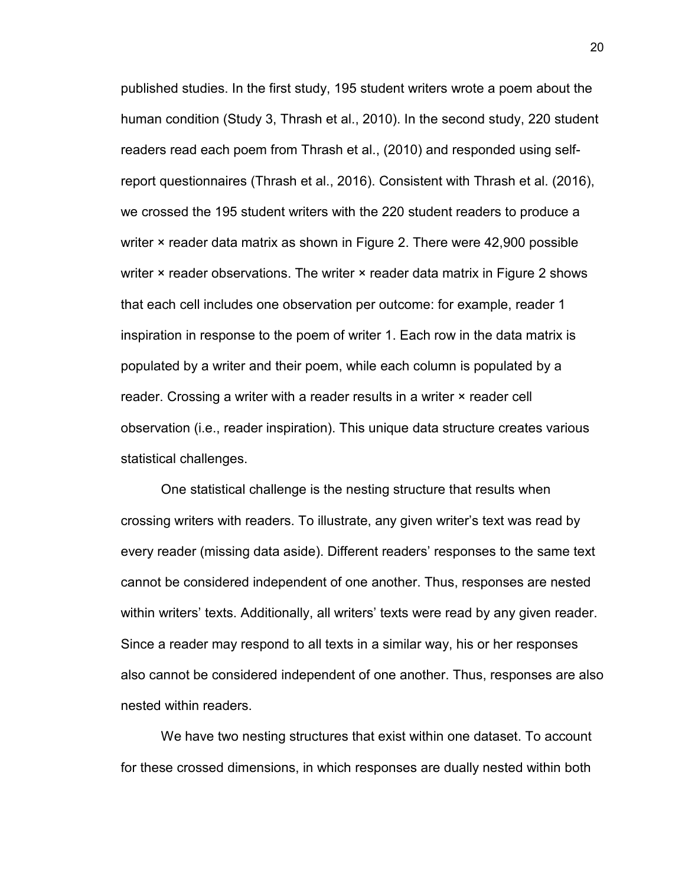published studies. In the first study, 195 student writers wrote a poem about the human condition (Study 3, Thrash et al., 2010). In the second study, 220 student readers read each poem from Thrash et al., (2010) and responded using selfreport questionnaires (Thrash et al., 2016). Consistent with Thrash et al. (2016), we crossed the 195 student writers with the 220 student readers to produce a writer × reader data matrix as shown in Figure 2. There were 42,900 possible writer × reader observations. The writer × reader data matrix in Figure 2 shows that each cell includes one observation per outcome: for example, reader 1 inspiration in response to the poem of writer 1. Each row in the data matrix is populated by a writer and their poem, while each column is populated by a reader. Crossing a writer with a reader results in a writer × reader cell observation (i.e., reader inspiration). This unique data structure creates various statistical challenges.

One statistical challenge is the nesting structure that results when crossing writers with readers. To illustrate, any given writer's text was read by every reader (missing data aside). Different readers' responses to the same text cannot be considered independent of one another. Thus, responses are nested within writers' texts. Additionally, all writers' texts were read by any given reader. Since a reader may respond to all texts in a similar way, his or her responses also cannot be considered independent of one another. Thus, responses are also nested within readers.

We have two nesting structures that exist within one dataset. To account for these crossed dimensions, in which responses are dually nested within both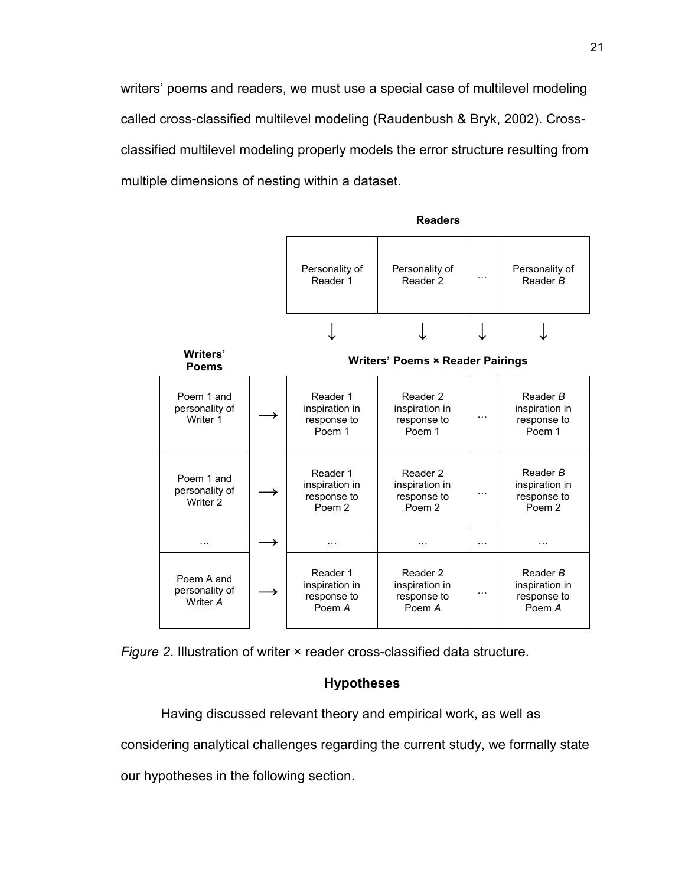writers' poems and readers, we must use a special case of multilevel modeling called cross-classified multilevel modeling (Raudenbush & Bryk, 2002). Crossclassified multilevel modeling properly models the error structure resulting from multiple dimensions of nesting within a dataset.



*Figure 2*. Illustration of writer × reader cross-classified data structure.

#### **Hypotheses**

Having discussed relevant theory and empirical work, as well as considering analytical challenges regarding the current study, we formally state

our hypotheses in the following section.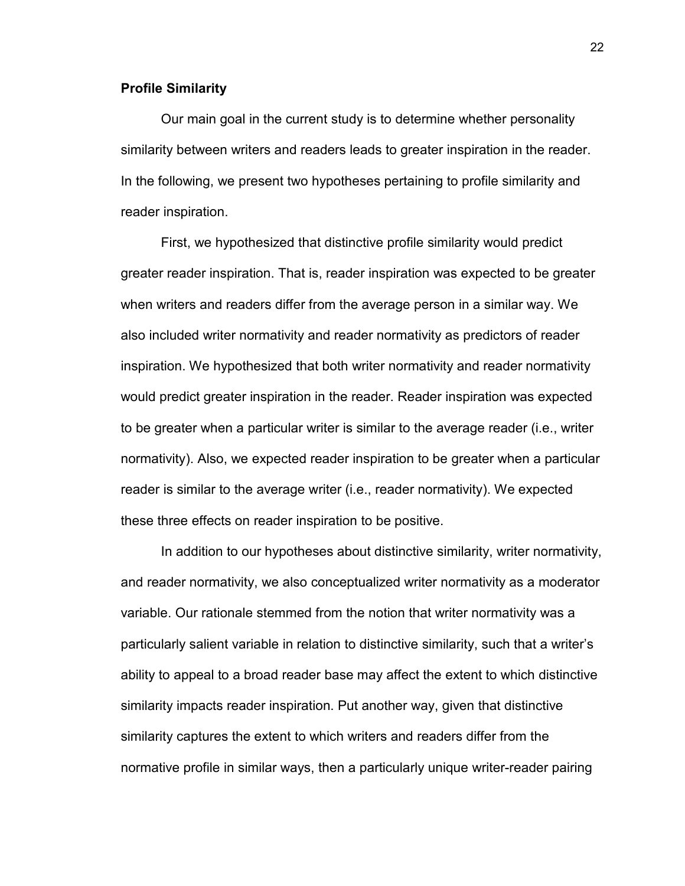#### **Profile Similarity**

Our main goal in the current study is to determine whether personality similarity between writers and readers leads to greater inspiration in the reader. In the following, we present two hypotheses pertaining to profile similarity and reader inspiration.

First, we hypothesized that distinctive profile similarity would predict greater reader inspiration. That is, reader inspiration was expected to be greater when writers and readers differ from the average person in a similar way. We also included writer normativity and reader normativity as predictors of reader inspiration. We hypothesized that both writer normativity and reader normativity would predict greater inspiration in the reader. Reader inspiration was expected to be greater when a particular writer is similar to the average reader (i.e., writer normativity). Also, we expected reader inspiration to be greater when a particular reader is similar to the average writer (i.e., reader normativity). We expected these three effects on reader inspiration to be positive.

In addition to our hypotheses about distinctive similarity, writer normativity, and reader normativity, we also conceptualized writer normativity as a moderator variable. Our rationale stemmed from the notion that writer normativity was a particularly salient variable in relation to distinctive similarity, such that a writer's ability to appeal to a broad reader base may affect the extent to which distinctive similarity impacts reader inspiration. Put another way, given that distinctive similarity captures the extent to which writers and readers differ from the normative profile in similar ways, then a particularly unique writer-reader pairing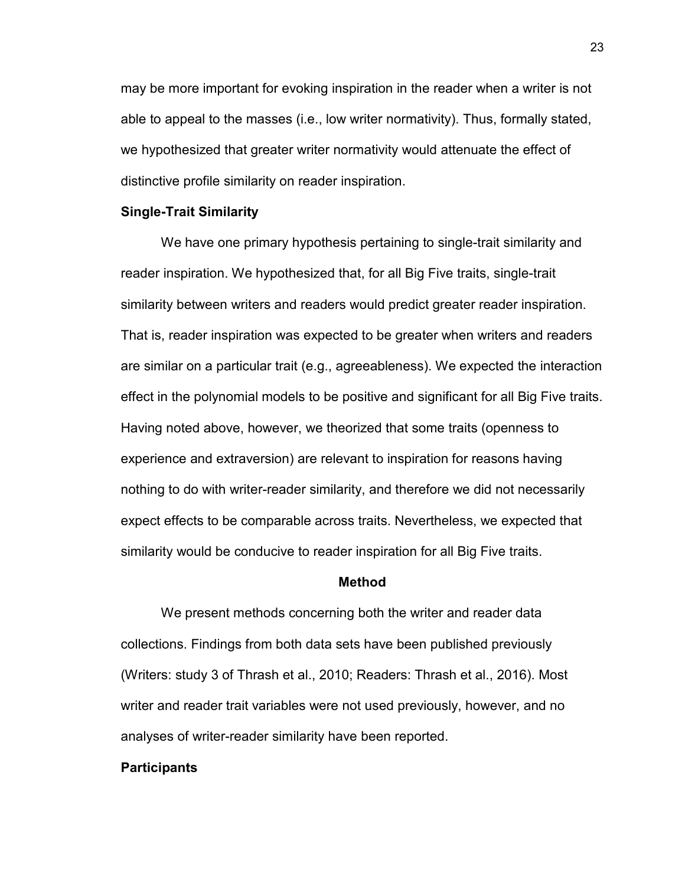may be more important for evoking inspiration in the reader when a writer is not able to appeal to the masses (i.e., low writer normativity). Thus, formally stated, we hypothesized that greater writer normativity would attenuate the effect of distinctive profile similarity on reader inspiration.

#### **Single-Trait Similarity**

We have one primary hypothesis pertaining to single-trait similarity and reader inspiration. We hypothesized that, for all Big Five traits, single-trait similarity between writers and readers would predict greater reader inspiration. That is, reader inspiration was expected to be greater when writers and readers are similar on a particular trait (e.g., agreeableness). We expected the interaction effect in the polynomial models to be positive and significant for all Big Five traits. Having noted above, however, we theorized that some traits (openness to experience and extraversion) are relevant to inspiration for reasons having nothing to do with writer-reader similarity, and therefore we did not necessarily expect effects to be comparable across traits. Nevertheless, we expected that similarity would be conducive to reader inspiration for all Big Five traits.

#### **Method**

We present methods concerning both the writer and reader data collections. Findings from both data sets have been published previously (Writers: study 3 of Thrash et al., 2010; Readers: Thrash et al., 2016). Most writer and reader trait variables were not used previously, however, and no analyses of writer-reader similarity have been reported.

#### **Participants**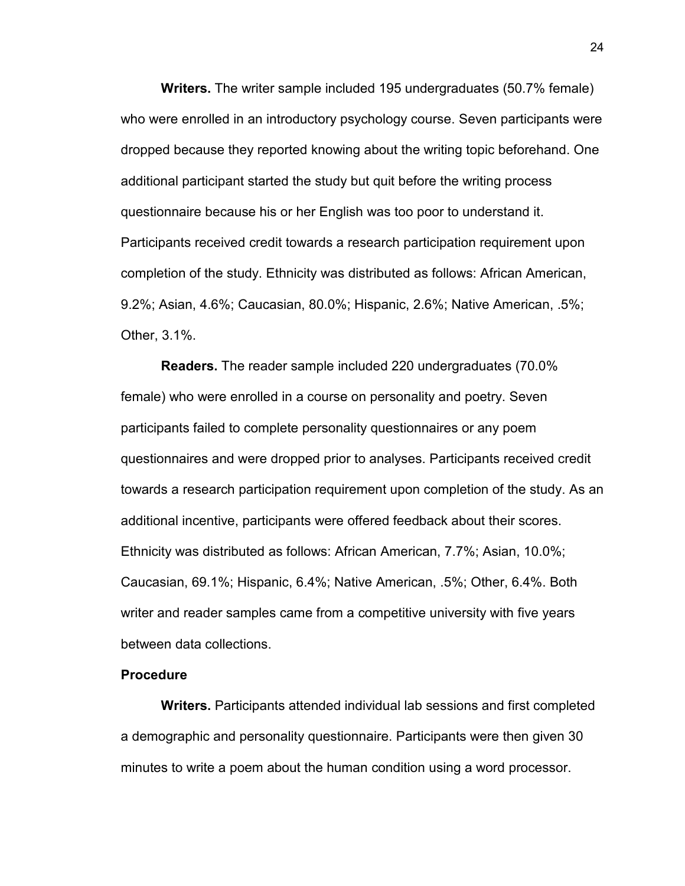**Writers.** The writer sample included 195 undergraduates (50.7% female) who were enrolled in an introductory psychology course. Seven participants were dropped because they reported knowing about the writing topic beforehand. One additional participant started the study but quit before the writing process questionnaire because his or her English was too poor to understand it. Participants received credit towards a research participation requirement upon completion of the study. Ethnicity was distributed as follows: African American, 9.2%; Asian, 4.6%; Caucasian, 80.0%; Hispanic, 2.6%; Native American, .5%; Other, 3.1%.

**Readers.** The reader sample included 220 undergraduates (70.0% female) who were enrolled in a course on personality and poetry. Seven participants failed to complete personality questionnaires or any poem questionnaires and were dropped prior to analyses. Participants received credit towards a research participation requirement upon completion of the study. As an additional incentive, participants were offered feedback about their scores. Ethnicity was distributed as follows: African American, 7.7%; Asian, 10.0%; Caucasian, 69.1%; Hispanic, 6.4%; Native American, .5%; Other, 6.4%. Both writer and reader samples came from a competitive university with five years between data collections.

#### **Procedure**

**Writers.** Participants attended individual lab sessions and first completed a demographic and personality questionnaire. Participants were then given 30 minutes to write a poem about the human condition using a word processor.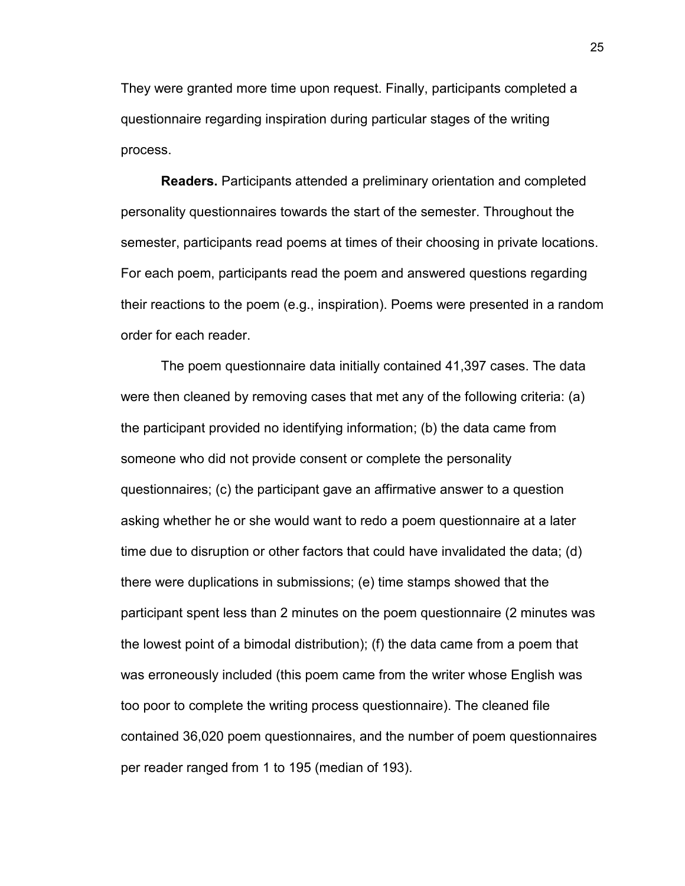They were granted more time upon request. Finally, participants completed a questionnaire regarding inspiration during particular stages of the writing process.

**Readers.** Participants attended a preliminary orientation and completed personality questionnaires towards the start of the semester. Throughout the semester, participants read poems at times of their choosing in private locations. For each poem, participants read the poem and answered questions regarding their reactions to the poem (e.g., inspiration). Poems were presented in a random order for each reader.

 The poem questionnaire data initially contained 41,397 cases. The data were then cleaned by removing cases that met any of the following criteria: (a) the participant provided no identifying information; (b) the data came from someone who did not provide consent or complete the personality questionnaires; (c) the participant gave an affirmative answer to a question asking whether he or she would want to redo a poem questionnaire at a later time due to disruption or other factors that could have invalidated the data; (d) there were duplications in submissions; (e) time stamps showed that the participant spent less than 2 minutes on the poem questionnaire (2 minutes was the lowest point of a bimodal distribution); (f) the data came from a poem that was erroneously included (this poem came from the writer whose English was too poor to complete the writing process questionnaire). The cleaned file contained 36,020 poem questionnaires, and the number of poem questionnaires per reader ranged from 1 to 195 (median of 193).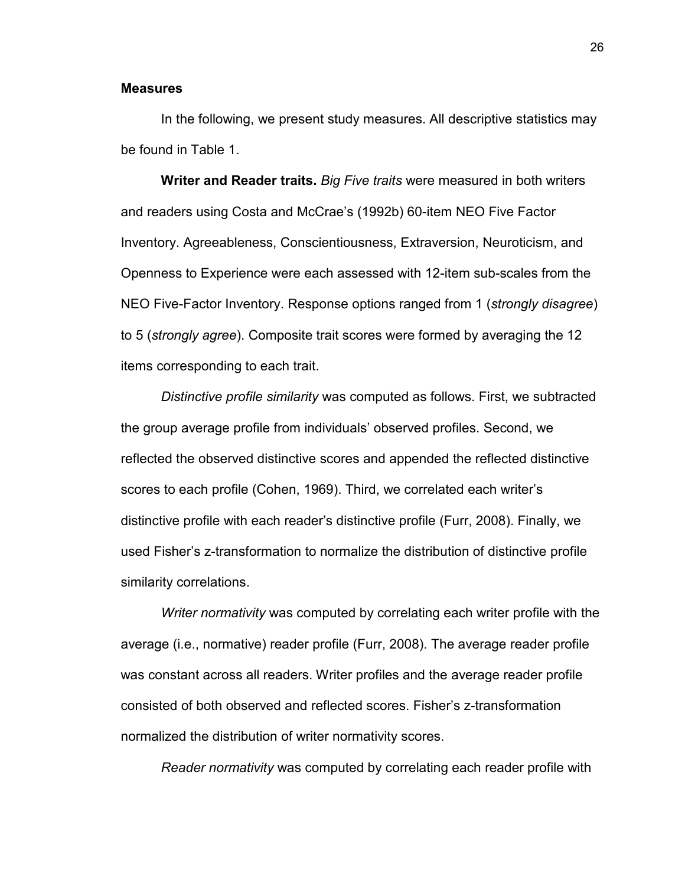#### **Measures**

In the following, we present study measures. All descriptive statistics may be found in Table 1.

 **Writer and Reader traits.** *Big Five traits* were measured in both writers and readers using Costa and McCrae's (1992b) 60-item NEO Five Factor Inventory. Agreeableness, Conscientiousness, Extraversion, Neuroticism, and Openness to Experience were each assessed with 12-item sub-scales from the NEO Five-Factor Inventory. Response options ranged from 1 (*strongly disagree*) to 5 (*strongly agree*). Composite trait scores were formed by averaging the 12 items corresponding to each trait.

*Distinctive profile similarity* was computed as follows. First, we subtracted the group average profile from individuals' observed profiles. Second, we reflected the observed distinctive scores and appended the reflected distinctive scores to each profile (Cohen, 1969). Third, we correlated each writer's distinctive profile with each reader's distinctive profile (Furr, 2008). Finally, we used Fisher's z-transformation to normalize the distribution of distinctive profile similarity correlations.

*Writer normativity* was computed by correlating each writer profile with the average (i.e., normative) reader profile (Furr, 2008). The average reader profile was constant across all readers. Writer profiles and the average reader profile consisted of both observed and reflected scores. Fisher's z-transformation normalized the distribution of writer normativity scores.

*Reader normativity* was computed by correlating each reader profile with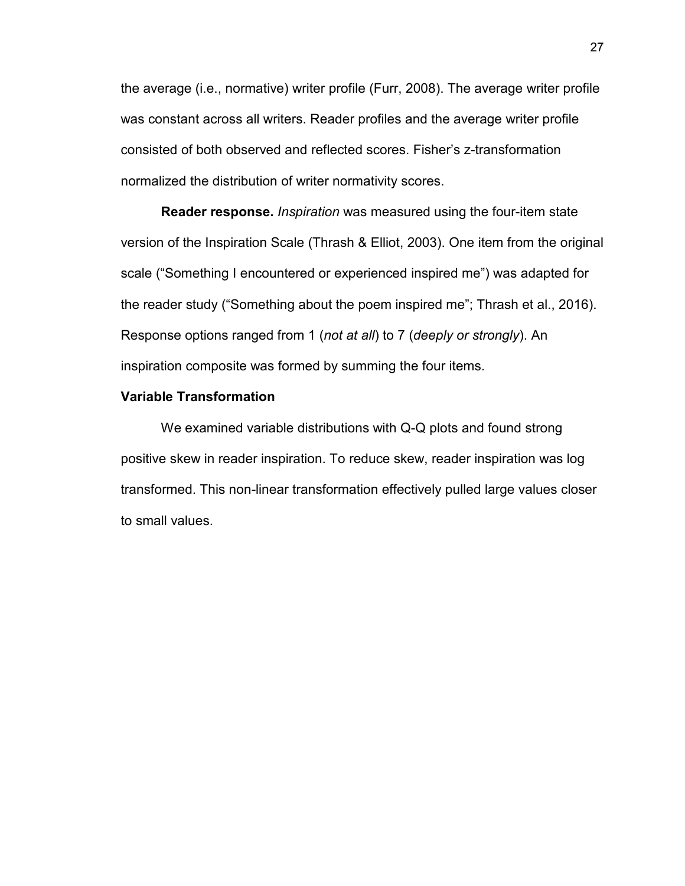the average (i.e., normative) writer profile (Furr, 2008). The average writer profile was constant across all writers. Reader profiles and the average writer profile consisted of both observed and reflected scores. Fisher's z-transformation normalized the distribution of writer normativity scores.

**Reader response.** *Inspiration* was measured using the four-item state version of the Inspiration Scale (Thrash & Elliot, 2003). One item from the original scale ("Something I encountered or experienced inspired me") was adapted for the reader study ("Something about the poem inspired me"; Thrash et al., 2016). Response options ranged from 1 (*not at all*) to 7 (*deeply or strongly*). An inspiration composite was formed by summing the four items.

#### **Variable Transformation**

 We examined variable distributions with Q-Q plots and found strong positive skew in reader inspiration. To reduce skew, reader inspiration was log transformed. This non-linear transformation effectively pulled large values closer to small values.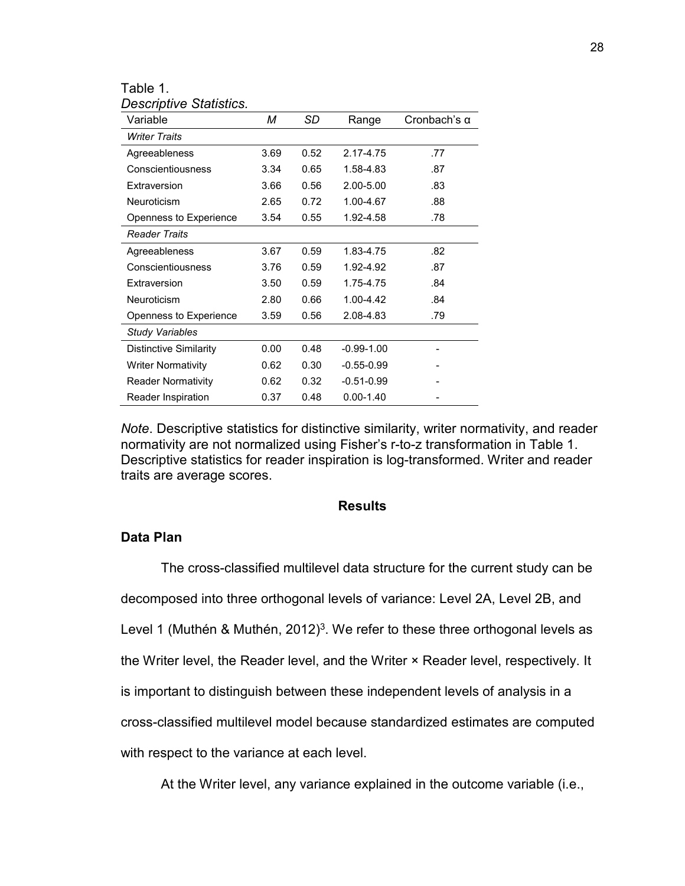| Table 1. |                                |
|----------|--------------------------------|
|          | <b>Descriptive Statistics.</b> |

| Variable                      | м    | SD   | Range          | Cronbach's $\alpha$ |
|-------------------------------|------|------|----------------|---------------------|
| <b>Writer Traits</b>          |      |      |                |                     |
| Agreeableness                 | 3.69 | 0.52 | 2.17-4.75      | .77                 |
| Conscientiousness             | 3.34 | 0.65 | 1.58-4.83      | .87                 |
| Extraversion                  | 3.66 | 0.56 | 2.00-5.00      | .83                 |
| Neuroticism                   | 2.65 | 0.72 | 1.00-4.67      | .88                 |
| Openness to Experience        | 3.54 | 0.55 | 1.92-4.58      | .78                 |
| <b>Reader Traits</b>          |      |      |                |                     |
| Agreeableness                 | 3.67 | 0.59 | 1.83-4.75      | .82                 |
| Conscientiousness             | 3.76 | 0.59 | 1.92-4.92      | .87                 |
| Extraversion                  | 3.50 | 0.59 | 1.75-4.75      | .84                 |
| Neuroticism                   | 2.80 | 0.66 | 1.00-4.42      | .84                 |
| Openness to Experience        | 3.59 | 0.56 | 2.08-4.83      | .79                 |
| <b>Study Variables</b>        |      |      |                |                     |
| <b>Distinctive Similarity</b> | 0.00 | 0.48 | $-0.99 - 1.00$ |                     |
| <b>Writer Normativity</b>     | 0.62 | 0.30 | $-0.55 - 0.99$ |                     |
| <b>Reader Normativity</b>     | 0.62 | 0.32 | $-0.51 - 0.99$ |                     |
| Reader Inspiration            | 0.37 | 0.48 | $0.00 - 1.40$  |                     |

*Note*. Descriptive statistics for distinctive similarity, writer normativity, and reader normativity are not normalized using Fisher's r-to-z transformation in Table 1. Descriptive statistics for reader inspiration is log-transformed. Writer and reader traits are average scores.

#### **Results**

#### **Data Plan**

The cross-classified multilevel data structure for the current study can be decomposed into three orthogonal levels of variance: Level 2A, Level 2B, and Level 1 (Muthén & Muthén, 2012)<sup>3</sup>. We refer to these three orthogonal levels as the Writer level, the Reader level, and the Writer × Reader level, respectively. It is important to distinguish between these independent levels of analysis in a cross-classified multilevel model because standardized estimates are computed with respect to the variance at each level.

At the Writer level, any variance explained in the outcome variable (i.e.,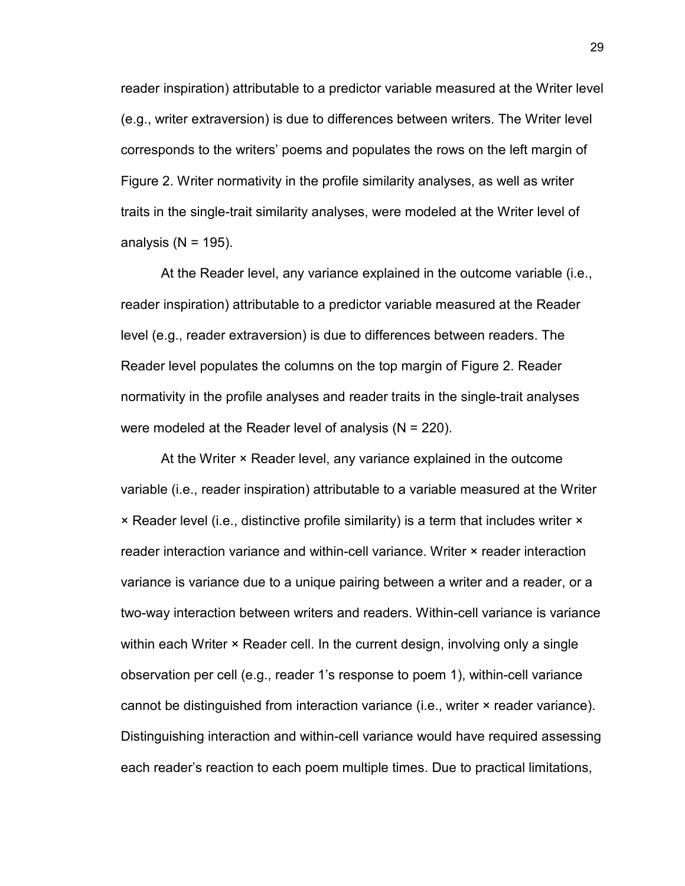reader inspiration) attributable to a predictor variable measured at the Writer level (e.g., writer extraversion) is due to differences between writers. The Writer level corresponds to the writers' poems and populates the rows on the left margin of Figure 2. Writer normativity in the profile similarity analyses, as well as writer traits in the single-trait similarity analyses, were modeled at the Writer level of analysis ( $N = 195$ ).

At the Reader level, any variance explained in the outcome variable (i.e., reader inspiration) attributable to a predictor variable measured at the Reader level (e.g., reader extraversion) is due to differences between readers. The Reader level populates the columns on the top margin of Figure 2. Reader normativity in the profile analyses and reader traits in the single-trait analyses were modeled at the Reader level of analysis (N = 220).

At the Writer × Reader level, any variance explained in the outcome variable (i.e., reader inspiration) attributable to a variable measured at the Writer × Reader level (i.e., distinctive profile similarity) is a term that includes writer × reader interaction variance and within-cell variance. Writer × reader interaction variance is variance due to a unique pairing between a writer and a reader, or a two-way interaction between writers and readers. Within-cell variance is variance within each Writer × Reader cell. In the current design, involving only a single observation per cell (e.g., reader 1's response to poem 1), within-cell variance cannot be distinguished from interaction variance (i.e., writer × reader variance). Distinguishing interaction and within-cell variance would have required assessing each reader's reaction to each poem multiple times. Due to practical limitations,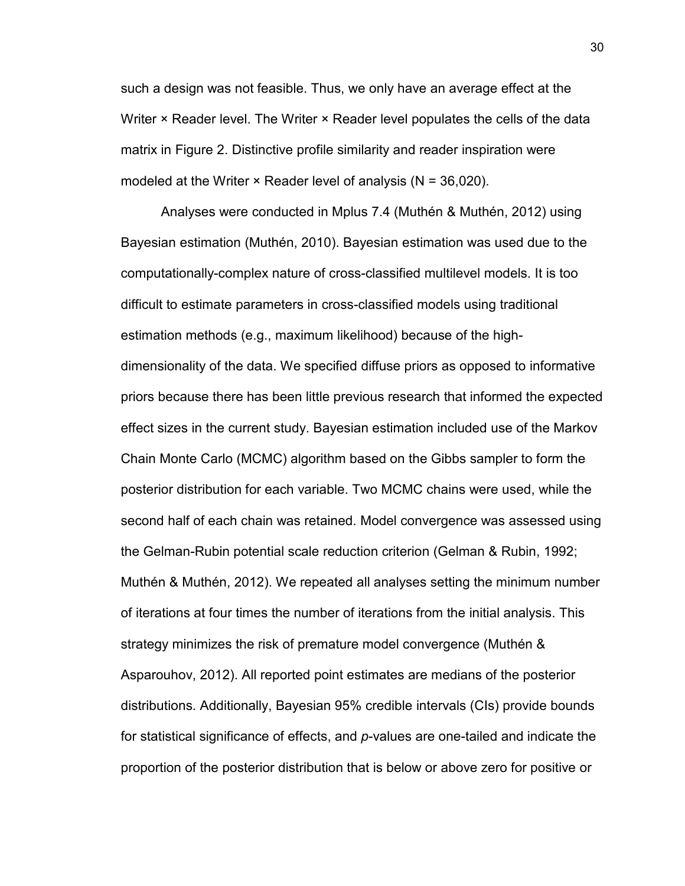such a design was not feasible. Thus, we only have an average effect at the Writer × Reader level. The Writer × Reader level populates the cells of the data matrix in Figure 2. Distinctive profile similarity and reader inspiration were modeled at the Writer  $\times$  Reader level of analysis (N = 36,020).

 Analyses were conducted in Mplus 7.4 (Muthén & Muthén, 2012) using Bayesian estimation (Muthén, 2010). Bayesian estimation was used due to the computationally-complex nature of cross-classified multilevel models. It is too difficult to estimate parameters in cross-classified models using traditional estimation methods (e.g., maximum likelihood) because of the highdimensionality of the data. We specified diffuse priors as opposed to informative priors because there has been little previous research that informed the expected effect sizes in the current study. Bayesian estimation included use of the Markov Chain Monte Carlo (MCMC) algorithm based on the Gibbs sampler to form the posterior distribution for each variable. Two MCMC chains were used, while the second half of each chain was retained. Model convergence was assessed using the Gelman-Rubin potential scale reduction criterion (Gelman & Rubin, 1992; Muthén & Muthén, 2012). We repeated all analyses setting the minimum number of iterations at four times the number of iterations from the initial analysis. This strategy minimizes the risk of premature model convergence (Muthén & Asparouhov, 2012). All reported point estimates are medians of the posterior distributions. Additionally, Bayesian 95% credible intervals (CIs) provide bounds for statistical significance of effects, and *p*-values are one-tailed and indicate the proportion of the posterior distribution that is below or above zero for positive or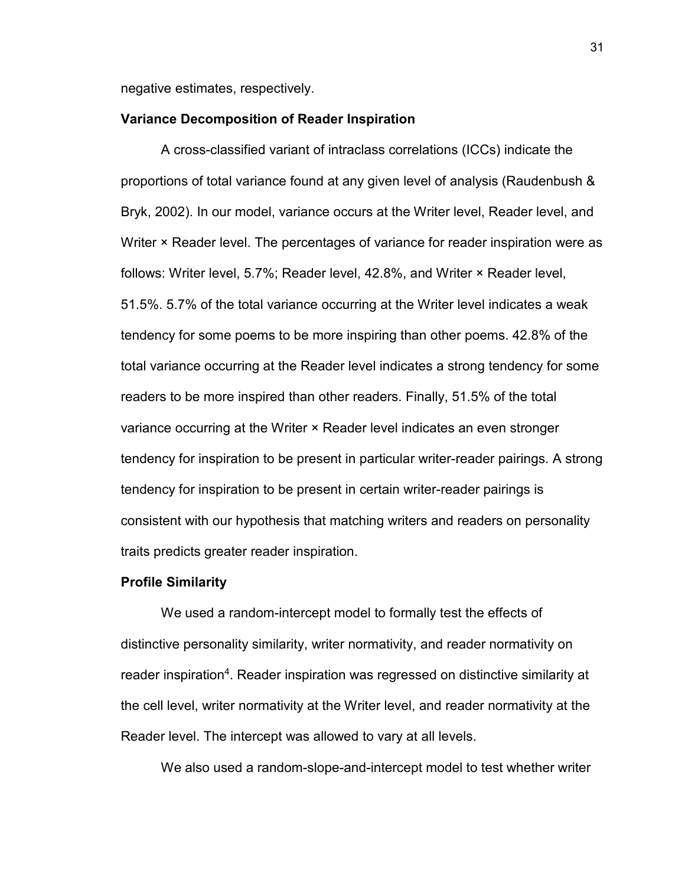negative estimates, respectively.

#### **Variance Decomposition of Reader Inspiration**

 A cross-classified variant of intraclass correlations (ICCs) indicate the proportions of total variance found at any given level of analysis (Raudenbush & Bryk, 2002). In our model, variance occurs at the Writer level, Reader level, and Writer × Reader level. The percentages of variance for reader inspiration were as follows: Writer level, 5.7%; Reader level, 42.8%, and Writer × Reader level, 51.5%. 5.7% of the total variance occurring at the Writer level indicates a weak tendency for some poems to be more inspiring than other poems. 42.8% of the total variance occurring at the Reader level indicates a strong tendency for some readers to be more inspired than other readers. Finally, 51.5% of the total variance occurring at the Writer × Reader level indicates an even stronger tendency for inspiration to be present in particular writer-reader pairings. A strong tendency for inspiration to be present in certain writer-reader pairings is consistent with our hypothesis that matching writers and readers on personality traits predicts greater reader inspiration.

#### **Profile Similarity**

We used a random-intercept model to formally test the effects of distinctive personality similarity, writer normativity, and reader normativity on reader inspiration<sup>4</sup>. Reader inspiration was regressed on distinctive similarity at the cell level, writer normativity at the Writer level, and reader normativity at the Reader level. The intercept was allowed to vary at all levels.

We also used a random-slope-and-intercept model to test whether writer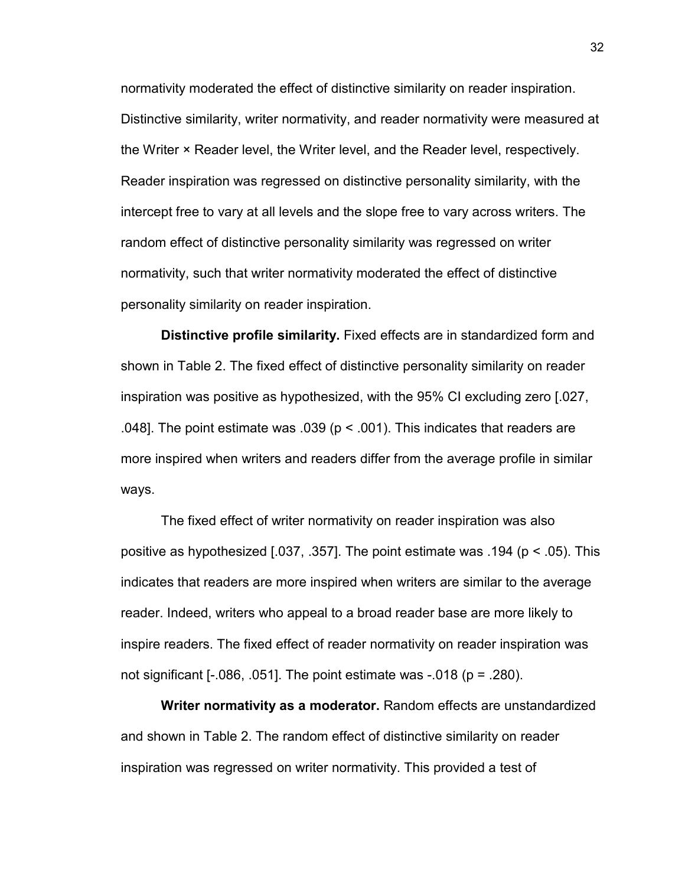normativity moderated the effect of distinctive similarity on reader inspiration. Distinctive similarity, writer normativity, and reader normativity were measured at the Writer × Reader level, the Writer level, and the Reader level, respectively. Reader inspiration was regressed on distinctive personality similarity, with the intercept free to vary at all levels and the slope free to vary across writers. The random effect of distinctive personality similarity was regressed on writer normativity, such that writer normativity moderated the effect of distinctive personality similarity on reader inspiration.

**Distinctive profile similarity.** Fixed effects are in standardized form and shown in Table 2. The fixed effect of distinctive personality similarity on reader inspiration was positive as hypothesized, with the 95% CI excluding zero [.027, .048]. The point estimate was .039 ( $p < .001$ ). This indicates that readers are more inspired when writers and readers differ from the average profile in similar ways.

The fixed effect of writer normativity on reader inspiration was also positive as hypothesized [.037, .357]. The point estimate was .194 (p < .05). This indicates that readers are more inspired when writers are similar to the average reader. Indeed, writers who appeal to a broad reader base are more likely to inspire readers. The fixed effect of reader normativity on reader inspiration was not significant  $[-.086, .051]$ . The point estimate was  $-.018$  (p = .280).

**Writer normativity as a moderator.** Random effects are unstandardized and shown in Table 2. The random effect of distinctive similarity on reader inspiration was regressed on writer normativity. This provided a test of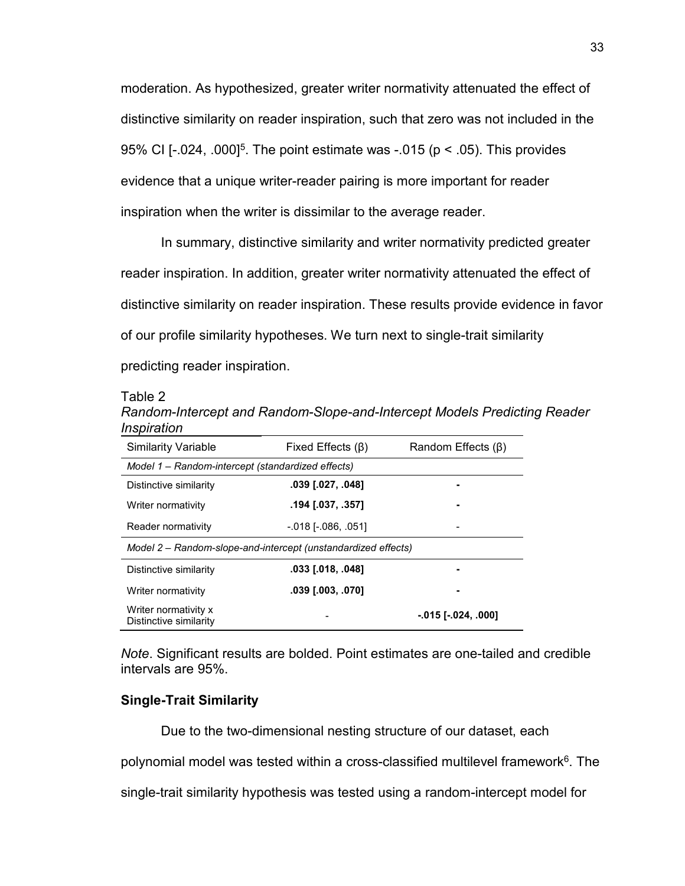moderation. As hypothesized, greater writer normativity attenuated the effect of distinctive similarity on reader inspiration, such that zero was not included in the 95% CI [-.024, .000]<sup>5</sup>. The point estimate was -.015 ( $p < .05$ ). This provides evidence that a unique writer-reader pairing is more important for reader inspiration when the writer is dissimilar to the average reader.

In summary, distinctive similarity and writer normativity predicted greater reader inspiration. In addition, greater writer normativity attenuated the effect of distinctive similarity on reader inspiration. These results provide evidence in favor of our profile similarity hypotheses. We turn next to single-trait similarity predicting reader inspiration.

#### Table 2

| Random-Intercept and Random-Slope-and-Intercept Models Predicting Reader |  |
|--------------------------------------------------------------------------|--|
| Inspiration                                                              |  |

| <b>Similarity Variable</b>                                    | Fixed Effects $(\beta)$ | Random Effects $(\beta)$  |  |  |  |  |  |
|---------------------------------------------------------------|-------------------------|---------------------------|--|--|--|--|--|
| Model 1 - Random-intercept (standardized effects)             |                         |                           |  |  |  |  |  |
| Distinctive similarity                                        |                         |                           |  |  |  |  |  |
| Writer normativity                                            | .194 [.037, .357]       |                           |  |  |  |  |  |
| Reader normativity                                            | $-018$ [ $-086, 051$ ]  |                           |  |  |  |  |  |
| Model 2 – Random-slope-and-intercept (unstandardized effects) |                         |                           |  |  |  |  |  |
| Distinctive similarity                                        | .033 [.018, .048]       |                           |  |  |  |  |  |
| Writer normativity                                            | .039 [.003, .070]       |                           |  |  |  |  |  |
| Writer normativity x<br>Distinctive similarity                |                         | $-.015$ [ $-.024, .000$ ] |  |  |  |  |  |

*Note*. Significant results are bolded. Point estimates are one-tailed and credible intervals are 95%.

#### **Single-Trait Similarity**

Due to the two-dimensional nesting structure of our dataset, each

polynomial model was tested within a cross-classified multilevel framework<sup>6</sup>. The

single-trait similarity hypothesis was tested using a random-intercept model for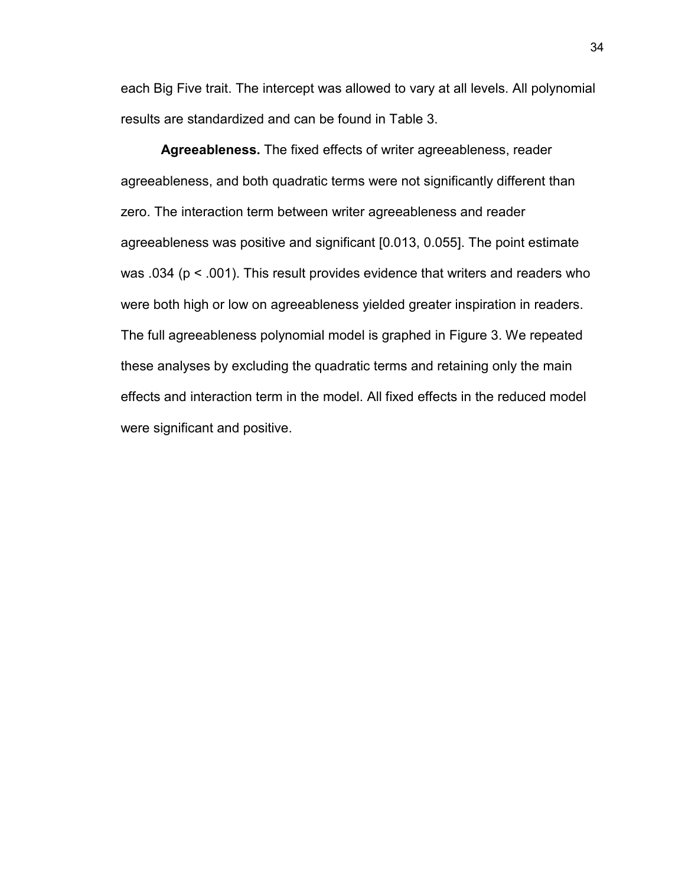each Big Five trait. The intercept was allowed to vary at all levels. All polynomial results are standardized and can be found in Table 3.

**Agreeableness.** The fixed effects of writer agreeableness, reader agreeableness, and both quadratic terms were not significantly different than zero. The interaction term between writer agreeableness and reader agreeableness was positive and significant [0.013, 0.055]. The point estimate was .034 (p < .001). This result provides evidence that writers and readers who were both high or low on agreeableness yielded greater inspiration in readers. The full agreeableness polynomial model is graphed in Figure 3. We repeated these analyses by excluding the quadratic terms and retaining only the main effects and interaction term in the model. All fixed effects in the reduced model were significant and positive.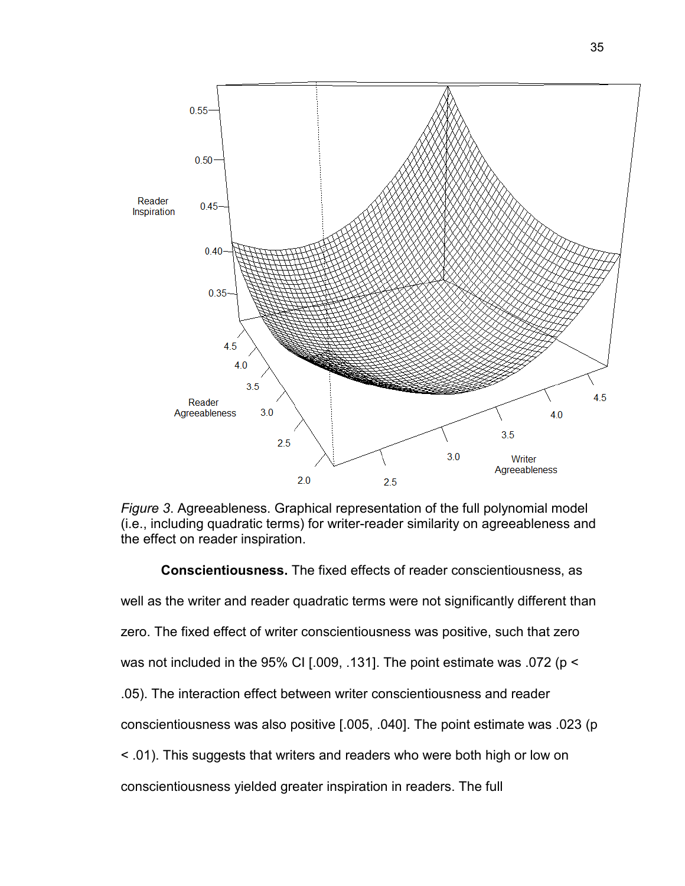

*Figure 3*. Agreeableness. Graphical representation of the full polynomial model (i.e., including quadratic terms) for writer-reader similarity on agreeableness and the effect on reader inspiration.

**Conscientiousness.** The fixed effects of reader conscientiousness, as well as the writer and reader quadratic terms were not significantly different than zero. The fixed effect of writer conscientiousness was positive, such that zero was not included in the 95% CI [.009, .131]. The point estimate was .072 (p < .05). The interaction effect between writer conscientiousness and reader conscientiousness was also positive [.005, .040]. The point estimate was .023 (p < .01). This suggests that writers and readers who were both high or low on conscientiousness yielded greater inspiration in readers. The full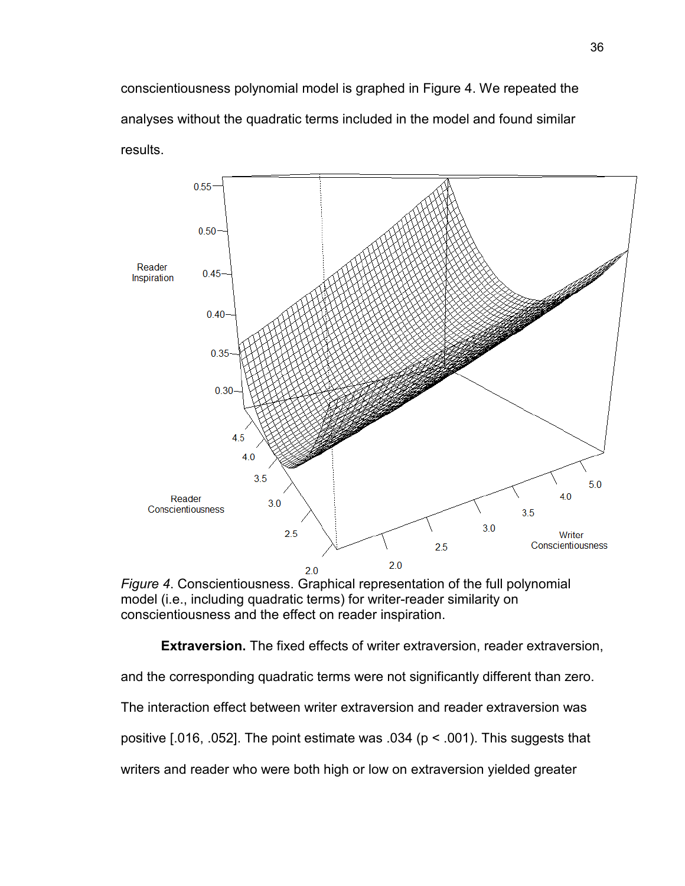conscientiousness polynomial model is graphed in Figure 4. We repeated the analyses without the quadratic terms included in the model and found similar results.



*Figure 4*. Conscientiousness. Graphical representation of the full polynomial model (i.e., including quadratic terms) for writer-reader similarity on conscientiousness and the effect on reader inspiration.

**Extraversion.** The fixed effects of writer extraversion, reader extraversion,

and the corresponding quadratic terms were not significantly different than zero.

The interaction effect between writer extraversion and reader extraversion was

positive  $[.016, .052]$ . The point estimate was  $.034$  ( $p < .001$ ). This suggests that

writers and reader who were both high or low on extraversion yielded greater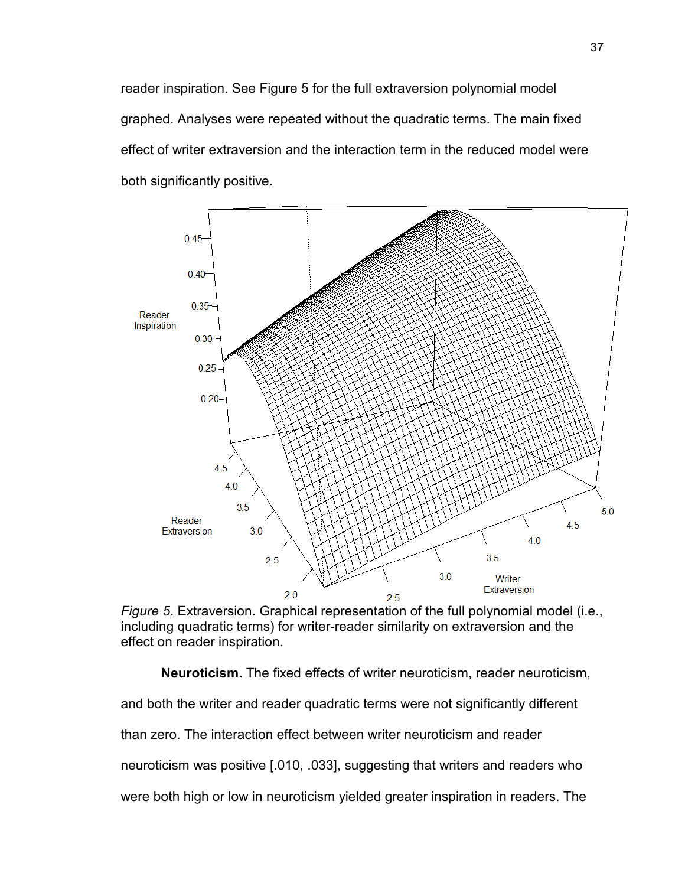reader inspiration. See Figure 5 for the full extraversion polynomial model graphed. Analyses were repeated without the quadratic terms. The main fixed effect of writer extraversion and the interaction term in the reduced model were both significantly positive.



*Figure 5*. Extraversion. Graphical representation of the full polynomial model (i.e., including quadratic terms) for writer-reader similarity on extraversion and the effect on reader inspiration.

**Neuroticism.** The fixed effects of writer neuroticism, reader neuroticism, and both the writer and reader quadratic terms were not significantly different than zero. The interaction effect between writer neuroticism and reader neuroticism was positive [.010, .033], suggesting that writers and readers who were both high or low in neuroticism yielded greater inspiration in readers. The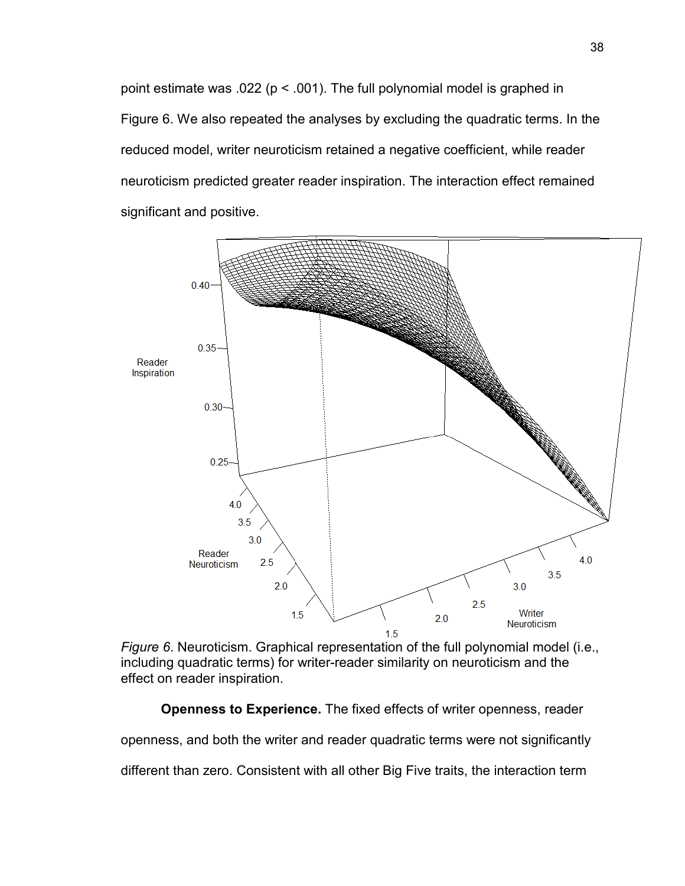point estimate was .022 ( $p < .001$ ). The full polynomial model is graphed in Figure 6. We also repeated the analyses by excluding the quadratic terms. In the reduced model, writer neuroticism retained a negative coefficient, while reader neuroticism predicted greater reader inspiration. The interaction effect remained significant and positive.



*Figure 6*. Neuroticism. Graphical representation of the full polynomial model (i.e., including quadratic terms) for writer-reader similarity on neuroticism and the effect on reader inspiration.

**Openness to Experience.** The fixed effects of writer openness, reader

openness, and both the writer and reader quadratic terms were not significantly

different than zero. Consistent with all other Big Five traits, the interaction term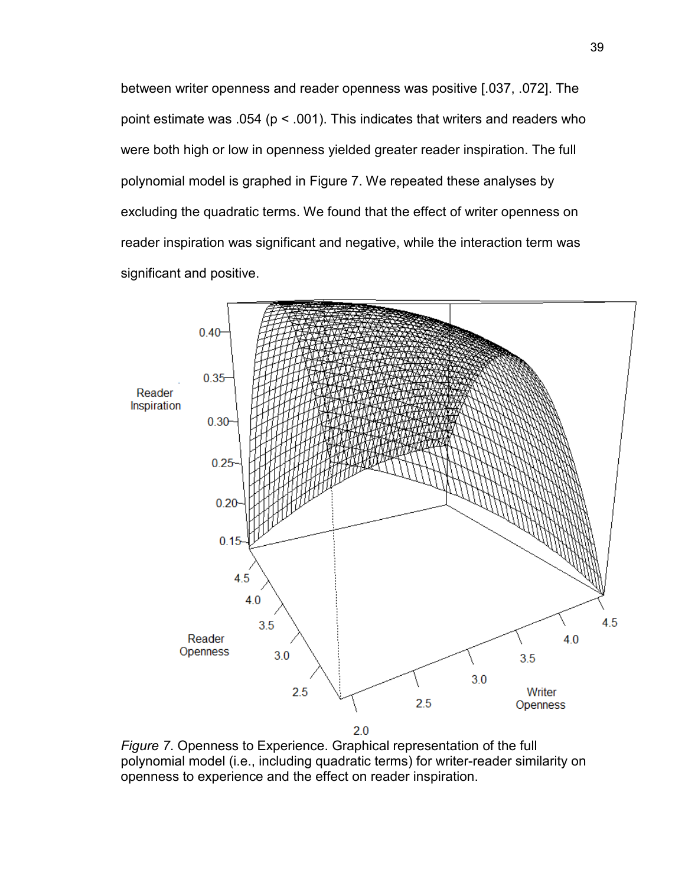between writer openness and reader openness was positive [.037, .072]. The point estimate was .054 ( $p < .001$ ). This indicates that writers and readers who were both high or low in openness yielded greater reader inspiration. The full polynomial model is graphed in Figure 7. We repeated these analyses by excluding the quadratic terms. We found that the effect of writer openness on reader inspiration was significant and negative, while the interaction term was significant and positive.



*Figure 7*. Openness to Experience. Graphical representation of the full polynomial model (i.e., including quadratic terms) for writer-reader similarity on openness to experience and the effect on reader inspiration.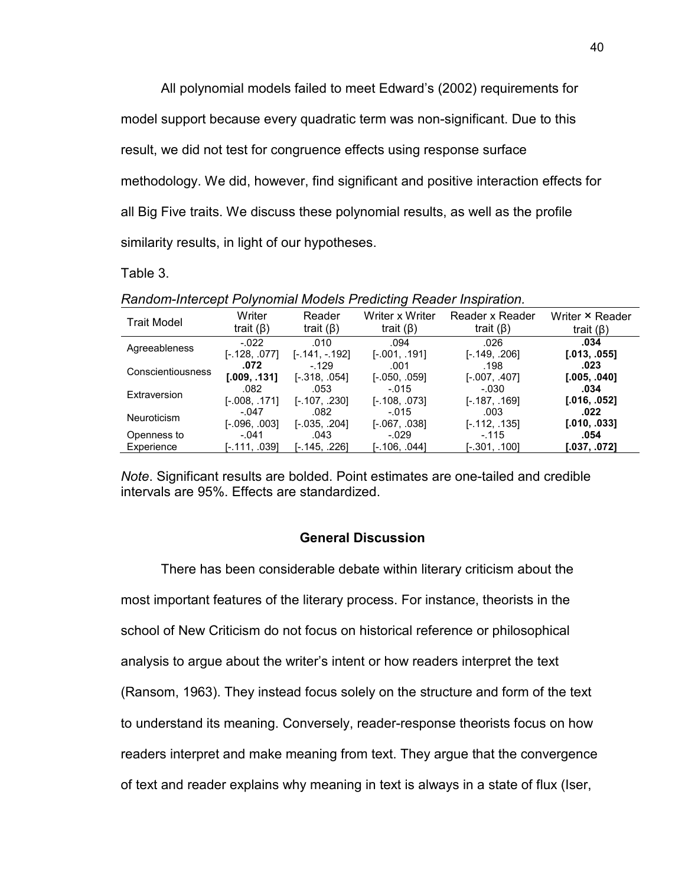All polynomial models failed to meet Edward's (2002) requirements for model support because every quadratic term was non-significant. Due to this result, we did not test for congruence effects using response surface methodology. We did, however, find significant and positive interaction effects for all Big Five traits. We discuss these polynomial results, as well as the profile similarity results, in light of our hypotheses.

Table 3.

| Trait Model        | Writer          | Reader           | Writer x Writer       | Reader x Reader | Writer × Reader |
|--------------------|-----------------|------------------|-----------------------|-----------------|-----------------|
|                    | trait $(\beta)$ | trait $(\beta)$  | trait $(\beta)$       | trait $(\beta)$ | trait $(\beta)$ |
| Agreeableness      | $-022$          | .010             | .094                  | .026            | .034            |
|                    | $[-.128, .077]$ | $[-.141, -.192]$ | $[-.001, .191]$       | $[-.149, .206]$ | [.013, .055]    |
| Conscientiousness  | .072            | $-129$           | .001                  | .198            | .023            |
|                    | [.009, .131]    | $[-.318, .054]$  | $[-.050, .059]$       | $[-.007, .407]$ | [.005, .040]    |
| Extraversion       | .082            | .053             | $-.015$               | $-.030$         | .034            |
|                    | $[-.008, .171]$ | $[-.107, .230]$  | $[-.108, .073]$       | $[-.187, .169]$ | [.016, .052]    |
| <b>Neuroticism</b> | $-.047$         | .082             | $-.015$               | .003            | .022            |
|                    | $[-.096, .003]$ | $[-.035, .204]$  | [-.067, .038]         | $[-.112, .135]$ | [.010, .033]    |
| Openness to        | $-.041$         | .043             | $-.029$               | $-115$          | .054            |
| Experience         | [-.111, .039]   | [-.145. .226]    | [-.106, .044 <b>]</b> | [-.301, .100]   | [.037, .072]    |

*Random-Intercept Polynomial Models Predicting Reader Inspiration.* 

*Note*. Significant results are bolded. Point estimates are one-tailed and credible intervals are 95%. Effects are standardized.

#### **General Discussion**

 There has been considerable debate within literary criticism about the most important features of the literary process. For instance, theorists in the school of New Criticism do not focus on historical reference or philosophical analysis to argue about the writer's intent or how readers interpret the text (Ransom, 1963). They instead focus solely on the structure and form of the text to understand its meaning. Conversely, reader-response theorists focus on how readers interpret and make meaning from text. They argue that the convergence of text and reader explains why meaning in text is always in a state of flux (Iser,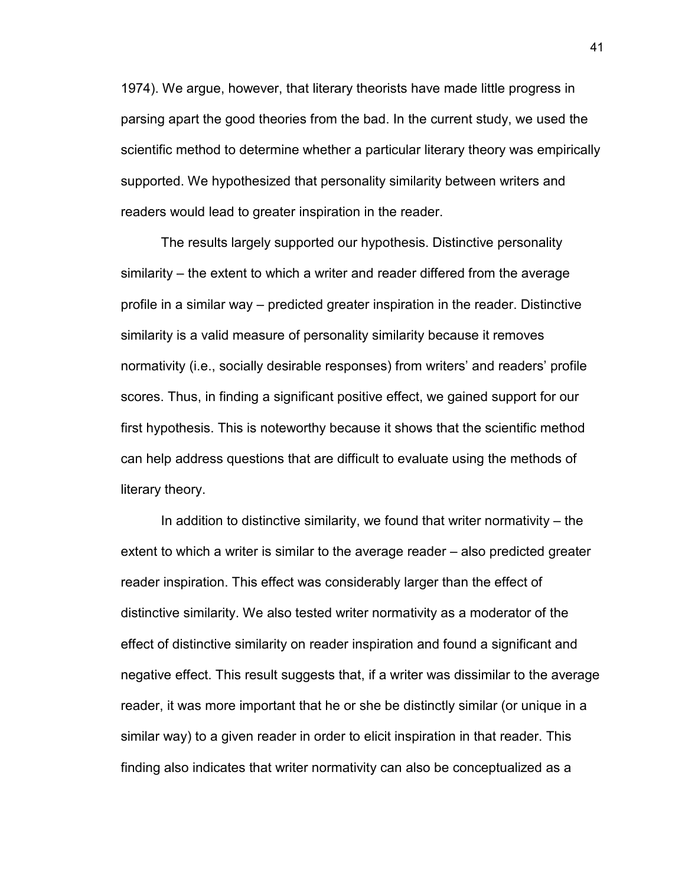1974). We argue, however, that literary theorists have made little progress in parsing apart the good theories from the bad. In the current study, we used the scientific method to determine whether a particular literary theory was empirically supported. We hypothesized that personality similarity between writers and readers would lead to greater inspiration in the reader.

 The results largely supported our hypothesis. Distinctive personality similarity – the extent to which a writer and reader differed from the average profile in a similar way – predicted greater inspiration in the reader. Distinctive similarity is a valid measure of personality similarity because it removes normativity (i.e., socially desirable responses) from writers' and readers' profile scores. Thus, in finding a significant positive effect, we gained support for our first hypothesis. This is noteworthy because it shows that the scientific method can help address questions that are difficult to evaluate using the methods of literary theory.

 In addition to distinctive similarity, we found that writer normativity – the extent to which a writer is similar to the average reader – also predicted greater reader inspiration. This effect was considerably larger than the effect of distinctive similarity. We also tested writer normativity as a moderator of the effect of distinctive similarity on reader inspiration and found a significant and negative effect. This result suggests that, if a writer was dissimilar to the average reader, it was more important that he or she be distinctly similar (or unique in a similar way) to a given reader in order to elicit inspiration in that reader. This finding also indicates that writer normativity can also be conceptualized as a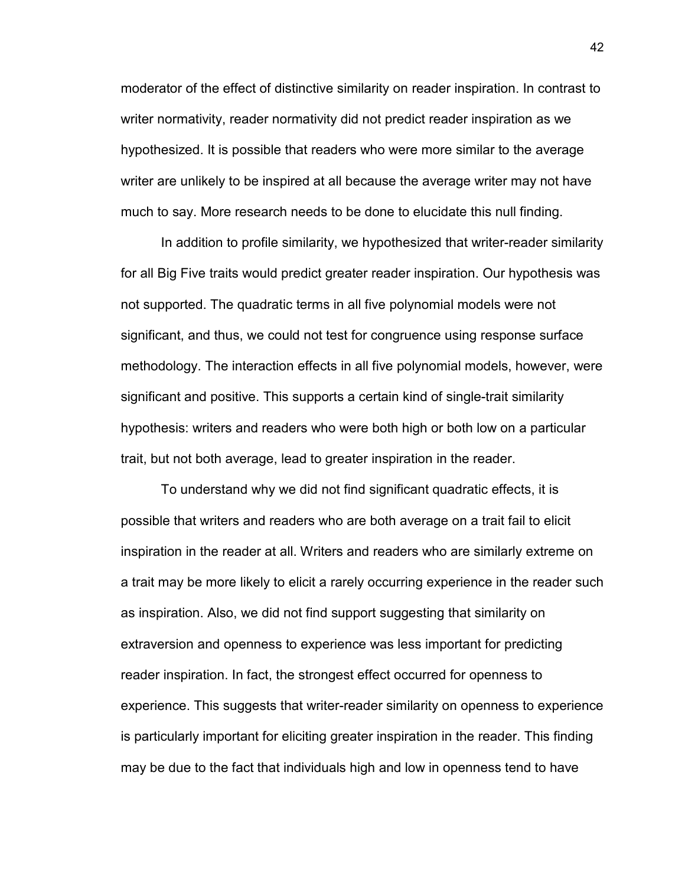moderator of the effect of distinctive similarity on reader inspiration. In contrast to writer normativity, reader normativity did not predict reader inspiration as we hypothesized. It is possible that readers who were more similar to the average writer are unlikely to be inspired at all because the average writer may not have much to say. More research needs to be done to elucidate this null finding.

 In addition to profile similarity, we hypothesized that writer-reader similarity for all Big Five traits would predict greater reader inspiration. Our hypothesis was not supported. The quadratic terms in all five polynomial models were not significant, and thus, we could not test for congruence using response surface methodology. The interaction effects in all five polynomial models, however, were significant and positive. This supports a certain kind of single-trait similarity hypothesis: writers and readers who were both high or both low on a particular trait, but not both average, lead to greater inspiration in the reader.

 To understand why we did not find significant quadratic effects, it is possible that writers and readers who are both average on a trait fail to elicit inspiration in the reader at all. Writers and readers who are similarly extreme on a trait may be more likely to elicit a rarely occurring experience in the reader such as inspiration. Also, we did not find support suggesting that similarity on extraversion and openness to experience was less important for predicting reader inspiration. In fact, the strongest effect occurred for openness to experience. This suggests that writer-reader similarity on openness to experience is particularly important for eliciting greater inspiration in the reader. This finding may be due to the fact that individuals high and low in openness tend to have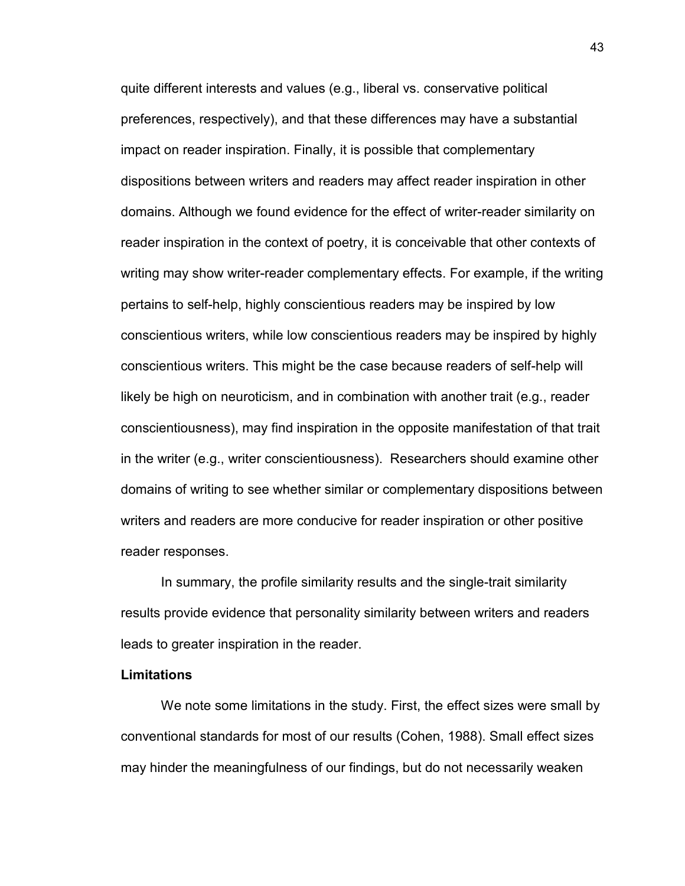quite different interests and values (e.g., liberal vs. conservative political preferences, respectively), and that these differences may have a substantial impact on reader inspiration. Finally, it is possible that complementary dispositions between writers and readers may affect reader inspiration in other domains. Although we found evidence for the effect of writer-reader similarity on reader inspiration in the context of poetry, it is conceivable that other contexts of writing may show writer-reader complementary effects. For example, if the writing pertains to self-help, highly conscientious readers may be inspired by low conscientious writers, while low conscientious readers may be inspired by highly conscientious writers. This might be the case because readers of self-help will likely be high on neuroticism, and in combination with another trait (e.g., reader conscientiousness), may find inspiration in the opposite manifestation of that trait in the writer (e.g., writer conscientiousness). Researchers should examine other domains of writing to see whether similar or complementary dispositions between writers and readers are more conducive for reader inspiration or other positive reader responses.

 In summary, the profile similarity results and the single-trait similarity results provide evidence that personality similarity between writers and readers leads to greater inspiration in the reader.

#### **Limitations**

 We note some limitations in the study. First, the effect sizes were small by conventional standards for most of our results (Cohen, 1988). Small effect sizes may hinder the meaningfulness of our findings, but do not necessarily weaken

43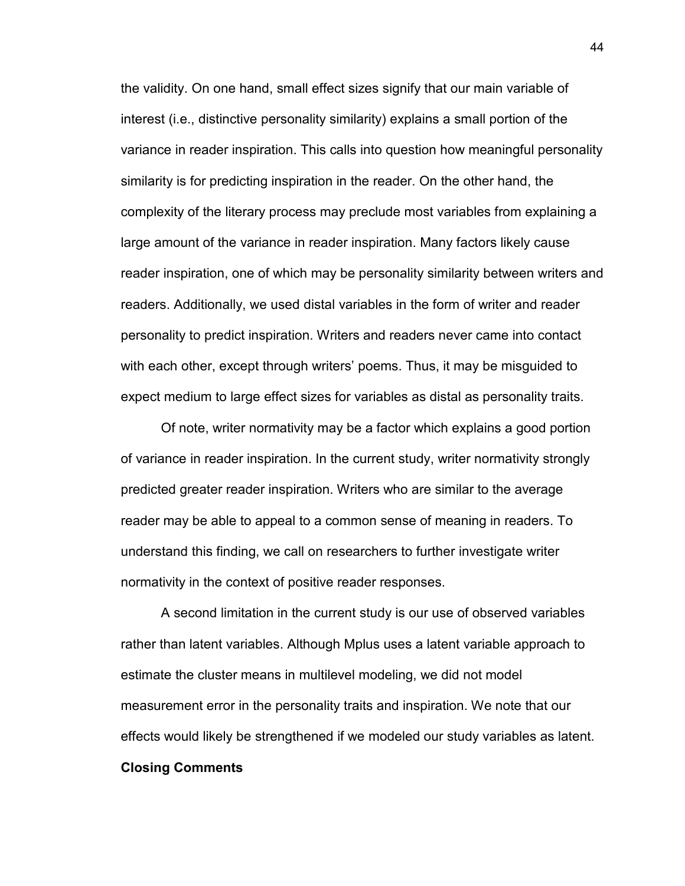the validity. On one hand, small effect sizes signify that our main variable of interest (i.e., distinctive personality similarity) explains a small portion of the variance in reader inspiration. This calls into question how meaningful personality similarity is for predicting inspiration in the reader. On the other hand, the complexity of the literary process may preclude most variables from explaining a large amount of the variance in reader inspiration. Many factors likely cause reader inspiration, one of which may be personality similarity between writers and readers. Additionally, we used distal variables in the form of writer and reader personality to predict inspiration. Writers and readers never came into contact with each other, except through writers' poems. Thus, it may be misguided to expect medium to large effect sizes for variables as distal as personality traits.

 Of note, writer normativity may be a factor which explains a good portion of variance in reader inspiration. In the current study, writer normativity strongly predicted greater reader inspiration. Writers who are similar to the average reader may be able to appeal to a common sense of meaning in readers. To understand this finding, we call on researchers to further investigate writer normativity in the context of positive reader responses.

 A second limitation in the current study is our use of observed variables rather than latent variables. Although Mplus uses a latent variable approach to estimate the cluster means in multilevel modeling, we did not model measurement error in the personality traits and inspiration. We note that our effects would likely be strengthened if we modeled our study variables as latent. **Closing Comments**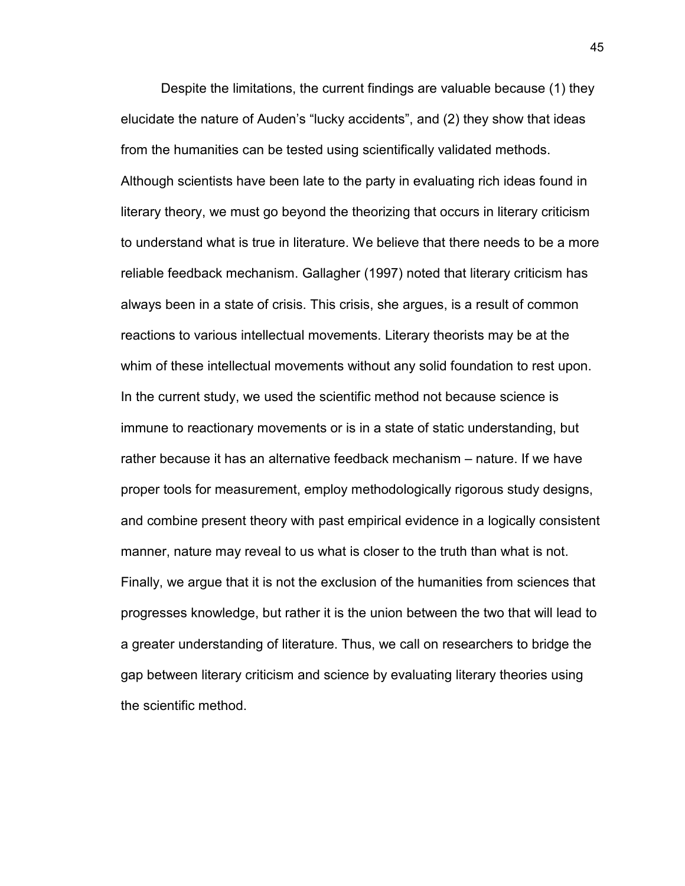Despite the limitations, the current findings are valuable because (1) they elucidate the nature of Auden's "lucky accidents", and (2) they show that ideas from the humanities can be tested using scientifically validated methods. Although scientists have been late to the party in evaluating rich ideas found in literary theory, we must go beyond the theorizing that occurs in literary criticism to understand what is true in literature. We believe that there needs to be a more reliable feedback mechanism. Gallagher (1997) noted that literary criticism has always been in a state of crisis. This crisis, she argues, is a result of common reactions to various intellectual movements. Literary theorists may be at the whim of these intellectual movements without any solid foundation to rest upon. In the current study, we used the scientific method not because science is immune to reactionary movements or is in a state of static understanding, but rather because it has an alternative feedback mechanism – nature. If we have proper tools for measurement, employ methodologically rigorous study designs, and combine present theory with past empirical evidence in a logically consistent manner, nature may reveal to us what is closer to the truth than what is not. Finally, we argue that it is not the exclusion of the humanities from sciences that progresses knowledge, but rather it is the union between the two that will lead to a greater understanding of literature. Thus, we call on researchers to bridge the gap between literary criticism and science by evaluating literary theories using the scientific method.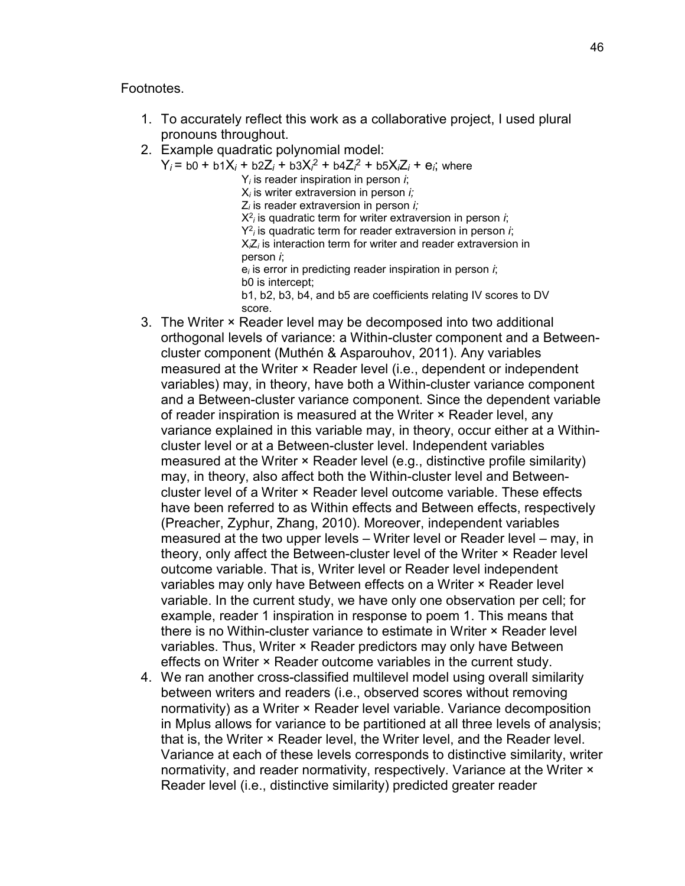#### Footnotes.

- 1. To accurately reflect this work as a collaborative project, I used plural pronouns throughout.
- 2. Example quadratic polynomial model:
	- $Y_i = b0 + b1X_i + b2Z_i + b3X_i^2 + b4Z_i^2 + b5X_iZ_i + e_i$ ; where
		- Y*i* is reader inspiration in person *i*;
		- X*i* is writer extraversion in person *i;*
		- Z*i* is reader extraversion in person *i;*
		- X<sup>2</sup> *<sup>i</sup>* is quadratic term for writer extraversion in person *i*;
		- Y2 *<sup>i</sup>* is quadratic term for reader extraversion in person *i*; X*i*Z*i* is interaction term for writer and reader extraversion in
		- person *i*;
		- e*i* is error in predicting reader inspiration in person *i*; b0 is intercept;
		- b1, b2, b3, b4, and b5 are coefficients relating IV scores to DV score.
- 3. The Writer × Reader level may be decomposed into two additional orthogonal levels of variance: a Within-cluster component and a Betweencluster component (Muthén & Asparouhov, 2011). Any variables measured at the Writer × Reader level (i.e., dependent or independent variables) may, in theory, have both a Within-cluster variance component and a Between-cluster variance component. Since the dependent variable of reader inspiration is measured at the Writer × Reader level, any variance explained in this variable may, in theory, occur either at a Withincluster level or at a Between-cluster level. Independent variables measured at the Writer × Reader level (e.g., distinctive profile similarity) may, in theory, also affect both the Within-cluster level and Betweencluster level of a Writer × Reader level outcome variable. These effects have been referred to as Within effects and Between effects, respectively (Preacher, Zyphur, Zhang, 2010). Moreover, independent variables measured at the two upper levels – Writer level or Reader level – may, in theory, only affect the Between-cluster level of the Writer × Reader level outcome variable. That is, Writer level or Reader level independent variables may only have Between effects on a Writer × Reader level variable. In the current study, we have only one observation per cell; for example, reader 1 inspiration in response to poem 1. This means that there is no Within-cluster variance to estimate in Writer × Reader level variables. Thus, Writer × Reader predictors may only have Between effects on Writer × Reader outcome variables in the current study.
- 4. We ran another cross-classified multilevel model using overall similarity between writers and readers (i.e., observed scores without removing normativity) as a Writer × Reader level variable. Variance decomposition in Mplus allows for variance to be partitioned at all three levels of analysis; that is, the Writer × Reader level, the Writer level, and the Reader level. Variance at each of these levels corresponds to distinctive similarity, writer normativity, and reader normativity, respectively. Variance at the Writer  $\times$ Reader level (i.e., distinctive similarity) predicted greater reader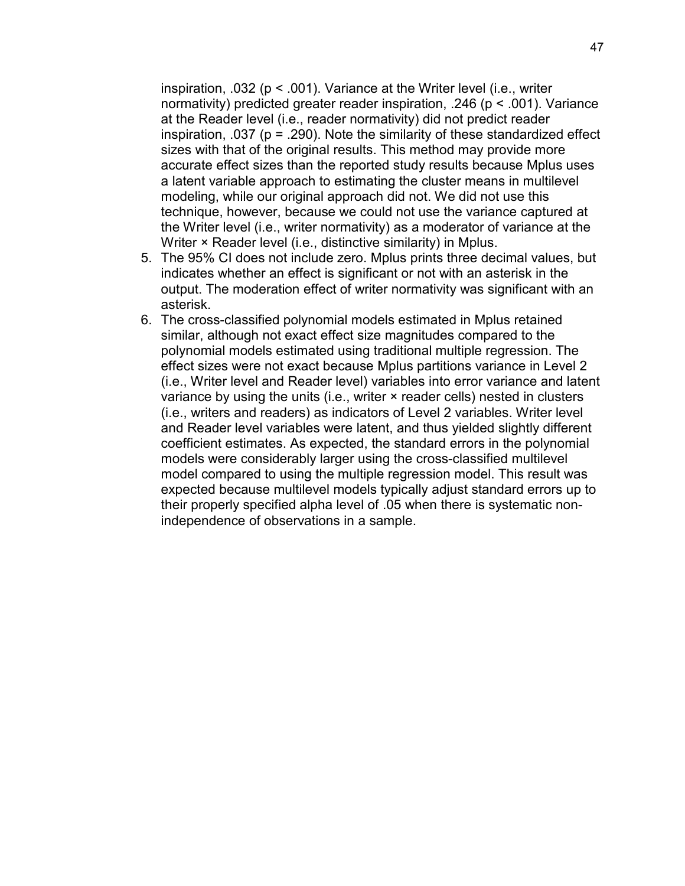inspiration, .032 ( $p < .001$ ). Variance at the Writer level (i.e., writer normativity) predicted greater reader inspiration, .246 (p < .001). Variance at the Reader level (i.e., reader normativity) did not predict reader inspiration, .037 ( $p = .290$ ). Note the similarity of these standardized effect sizes with that of the original results. This method may provide more accurate effect sizes than the reported study results because Mplus uses a latent variable approach to estimating the cluster means in multilevel modeling, while our original approach did not. We did not use this technique, however, because we could not use the variance captured at the Writer level (i.e., writer normativity) as a moderator of variance at the Writer × Reader level (i.e., distinctive similarity) in Mplus.

- 5. The 95% CI does not include zero. Mplus prints three decimal values, but indicates whether an effect is significant or not with an asterisk in the output. The moderation effect of writer normativity was significant with an asterisk.
- 6. The cross-classified polynomial models estimated in Mplus retained similar, although not exact effect size magnitudes compared to the polynomial models estimated using traditional multiple regression. The effect sizes were not exact because Mplus partitions variance in Level 2 (i.e., Writer level and Reader level) variables into error variance and latent variance by using the units (i.e., writer  $\times$  reader cells) nested in clusters (i.e., writers and readers) as indicators of Level 2 variables. Writer level and Reader level variables were latent, and thus yielded slightly different coefficient estimates. As expected, the standard errors in the polynomial models were considerably larger using the cross-classified multilevel model compared to using the multiple regression model. This result was expected because multilevel models typically adjust standard errors up to their properly specified alpha level of .05 when there is systematic nonindependence of observations in a sample.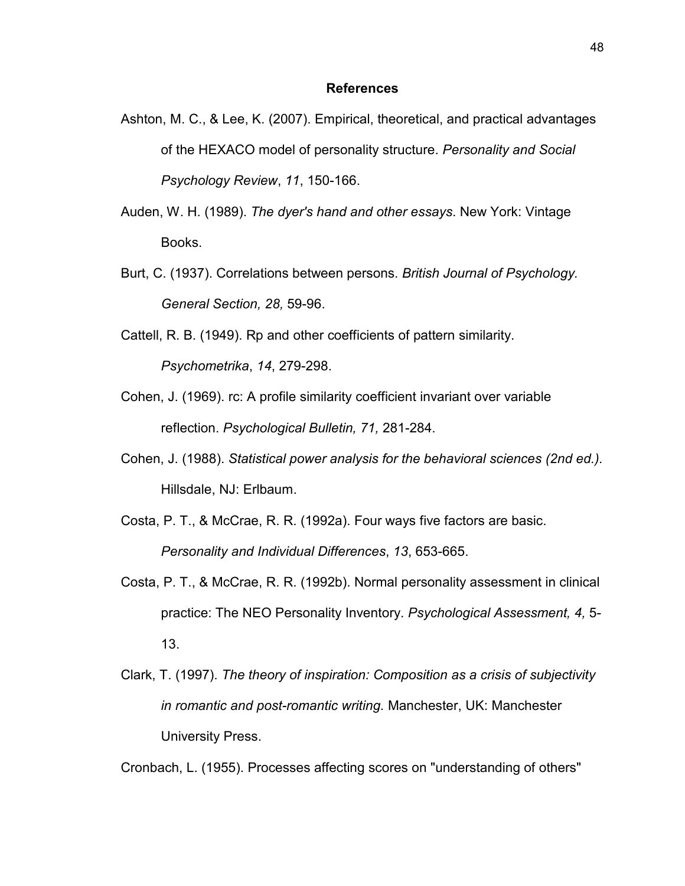#### **References**

- Ashton, M. C., & Lee, K. (2007). Empirical, theoretical, and practical advantages of the HEXACO model of personality structure. *Personality and Social Psychology Review*, *11*, 150-166.
- Auden, W. H. (1989). *The dyer's hand and other essays*. New York: Vintage Books.
- Burt, C. (1937). Correlations between persons. *British Journal of Psychology. General Section, 28,* 59-96.
- Cattell, R. B. (1949). Rp and other coefficients of pattern similarity. *Psychometrika*, *14*, 279-298.
- Cohen, J. (1969). rc: A profile similarity coefficient invariant over variable reflection. *Psychological Bulletin, 71,* 281-284.
- Cohen, J. (1988). *Statistical power analysis for the behavioral sciences (2nd ed.).*  Hillsdale, NJ: Erlbaum.
- Costa, P. T., & McCrae, R. R. (1992a). Four ways five factors are basic. *Personality and Individual Differences*, *13*, 653-665.
- Costa, P. T., & McCrae, R. R. (1992b). Normal personality assessment in clinical practice: The NEO Personality Inventory. *Psychological Assessment, 4,* 5- 13.
- Clark, T. (1997). *The theory of inspiration: Composition as a crisis of subjectivity in romantic and post-romantic writing.* Manchester, UK: Manchester University Press.

Cronbach, L. (1955). Processes affecting scores on "understanding of others"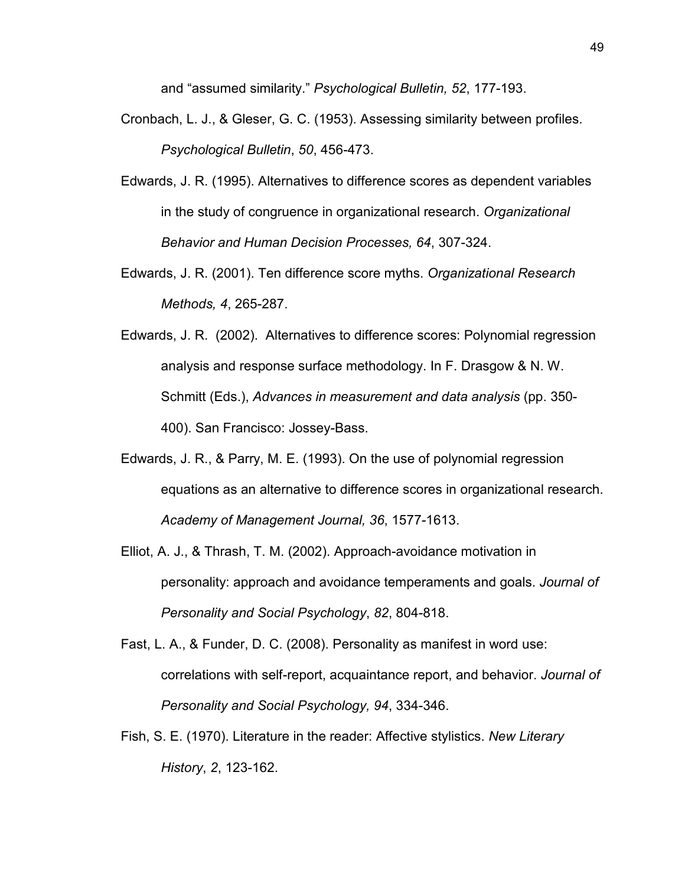and "assumed similarity." *Psychological Bulletin, 52*, 177-193.

- Cronbach, L. J., & Gleser, G. C. (1953). Assessing similarity between profiles. *Psychological Bulletin*, *50*, 456-473.
- Edwards, J. R. (1995). Alternatives to difference scores as dependent variables in the study of congruence in organizational research. *Organizational Behavior and Human Decision Processes, 64*, 307-324.
- Edwards, J. R. (2001). Ten difference score myths. *Organizational Research Methods, 4*, 265-287.
- Edwards, J. R. (2002). Alternatives to difference scores: Polynomial regression analysis and response surface methodology. In F. Drasgow & N. W. Schmitt (Eds.), *Advances in measurement and data analysis* (pp. 350- 400). San Francisco: Jossey-Bass.
- Edwards, J. R., & Parry, M. E. (1993). On the use of polynomial regression equations as an alternative to difference scores in organizational research. *Academy of Management Journal, 36*, 1577-1613.
- Elliot, A. J., & Thrash, T. M. (2002). Approach-avoidance motivation in personality: approach and avoidance temperaments and goals. *Journal of Personality and Social Psychology*, *82*, 804-818.
- Fast, L. A., & Funder, D. C. (2008). Personality as manifest in word use: correlations with self-report, acquaintance report, and behavior. *Journal of Personality and Social Psychology, 94*, 334-346.
- Fish, S. E. (1970). Literature in the reader: Affective stylistics. *New Literary History*, *2*, 123-162.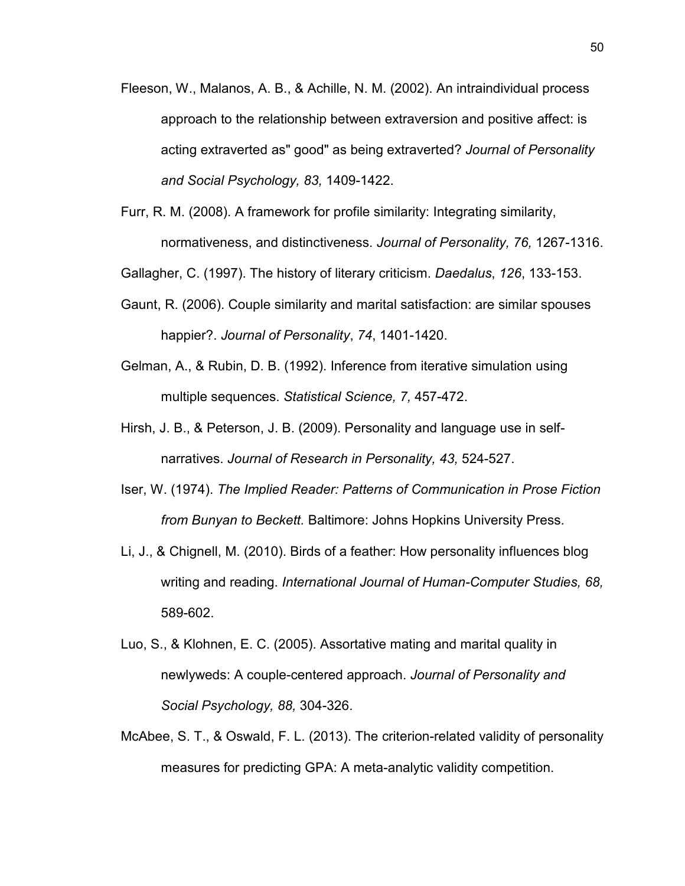- Fleeson, W., Malanos, A. B., & Achille, N. M. (2002). An intraindividual process approach to the relationship between extraversion and positive affect: is acting extraverted as" good" as being extraverted? *Journal of Personality and Social Psychology, 83,* 1409-1422.
- Furr, R. M. (2008). A framework for profile similarity: Integrating similarity, normativeness, and distinctiveness. *Journal of Personality, 76,* 1267-1316.

Gallagher, C. (1997). The history of literary criticism. *Daedalus*, *126*, 133-153.

- Gaunt, R. (2006). Couple similarity and marital satisfaction: are similar spouses happier?. *Journal of Personality*, *74*, 1401-1420.
- Gelman, A., & Rubin, D. B. (1992). Inference from iterative simulation using multiple sequences. *Statistical Science, 7,* 457-472.
- Hirsh, J. B., & Peterson, J. B. (2009). Personality and language use in selfnarratives. *Journal of Research in Personality, 43,* 524-527.
- Iser, W. (1974). *The Implied Reader: Patterns of Communication in Prose Fiction from Bunyan to Beckett.* Baltimore: Johns Hopkins University Press.
- Li, J., & Chignell, M. (2010). Birds of a feather: How personality influences blog writing and reading. *International Journal of Human-Computer Studies, 68,*  589-602.
- Luo, S., & Klohnen, E. C. (2005). Assortative mating and marital quality in newlyweds: A couple-centered approach. *Journal of Personality and Social Psychology, 88,* 304-326.
- McAbee, S. T., & Oswald, F. L. (2013). The criterion-related validity of personality measures for predicting GPA: A meta-analytic validity competition.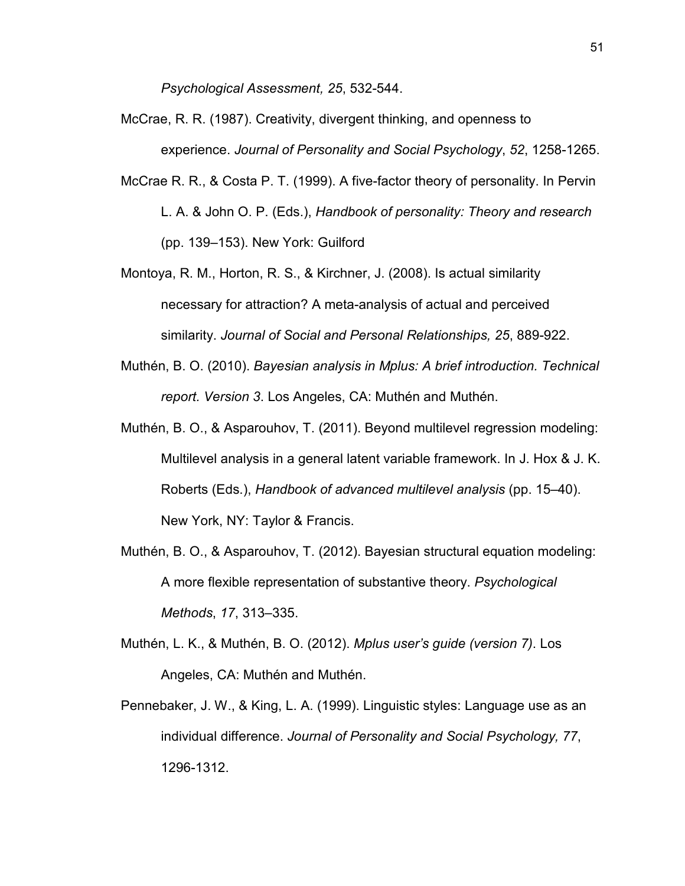*Psychological Assessment, 25*, 532-544.

- McCrae, R. R. (1987). Creativity, divergent thinking, and openness to experience. *Journal of Personality and Social Psychology*, *52*, 1258-1265.
- McCrae R. R., & Costa P. T. (1999). A five-factor theory of personality. In Pervin L. A. & John O. P. (Eds.), *Handbook of personality: Theory and research* (pp. 139–153). New York: Guilford
- Montoya, R. M., Horton, R. S., & Kirchner, J. (2008). Is actual similarity necessary for attraction? A meta-analysis of actual and perceived similarity. *Journal of Social and Personal Relationships, 25*, 889-922.
- Muthén, B. O. (2010). *Bayesian analysis in Mplus: A brief introduction. Technical report. Version 3*. Los Angeles, CA: Muthén and Muthén.
- Muthén, B. O., & Asparouhov, T. (2011). Beyond multilevel regression modeling: Multilevel analysis in a general latent variable framework. In J. Hox & J. K. Roberts (Eds.), *Handbook of advanced multilevel analysis* (pp. 15–40). New York, NY: Taylor & Francis.
- Muthén, B. O., & Asparouhov, T. (2012). Bayesian structural equation modeling: A more flexible representation of substantive theory. *Psychological Methods*, *17*, 313–335.
- Muthén, L. K., & Muthén, B. O. (2012). *Mplus user's guide (version 7)*. Los Angeles, CA: Muthén and Muthén.
- Pennebaker, J. W., & King, L. A. (1999). Linguistic styles: Language use as an individual difference. *Journal of Personality and Social Psychology, 77*, 1296-1312.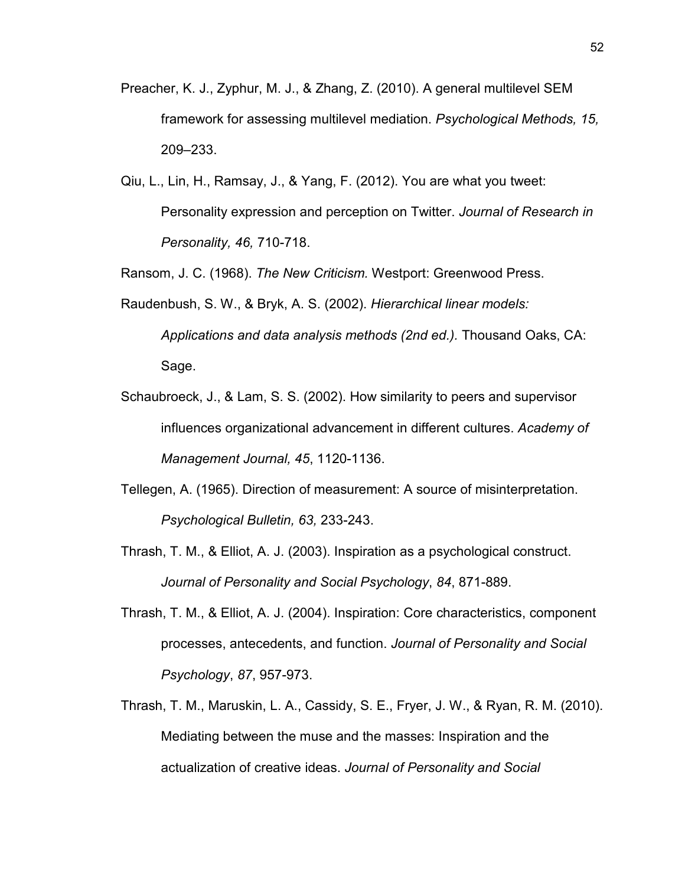- Preacher, K. J., Zyphur, M. J., & Zhang, Z. (2010). A general multilevel SEM framework for assessing multilevel mediation. *Psychological Methods, 15,*  209–233.
- Qiu, L., Lin, H., Ramsay, J., & Yang, F. (2012). You are what you tweet: Personality expression and perception on Twitter. *Journal of Research in Personality, 46,* 710-718.

Ransom, J. C. (1968). *The New Criticism.* Westport: Greenwood Press.

- Raudenbush, S. W., & Bryk, A. S. (2002). *Hierarchical linear models: Applications and data analysis methods (2nd ed.).* Thousand Oaks, CA: Sage.
- Schaubroeck, J., & Lam, S. S. (2002). How similarity to peers and supervisor influences organizational advancement in different cultures. *Academy of Management Journal, 45*, 1120-1136.
- Tellegen, A. (1965). Direction of measurement: A source of misinterpretation. *Psychological Bulletin, 63,* 233-243.
- Thrash, T. M., & Elliot, A. J. (2003). Inspiration as a psychological construct. *Journal of Personality and Social Psychology*, *84*, 871-889.
- Thrash, T. M., & Elliot, A. J. (2004). Inspiration: Core characteristics, component processes, antecedents, and function. *Journal of Personality and Social Psychology*, *87*, 957-973.
- Thrash, T. M., Maruskin, L. A., Cassidy, S. E., Fryer, J. W., & Ryan, R. M. (2010). Mediating between the muse and the masses: Inspiration and the actualization of creative ideas. *Journal of Personality and Social*